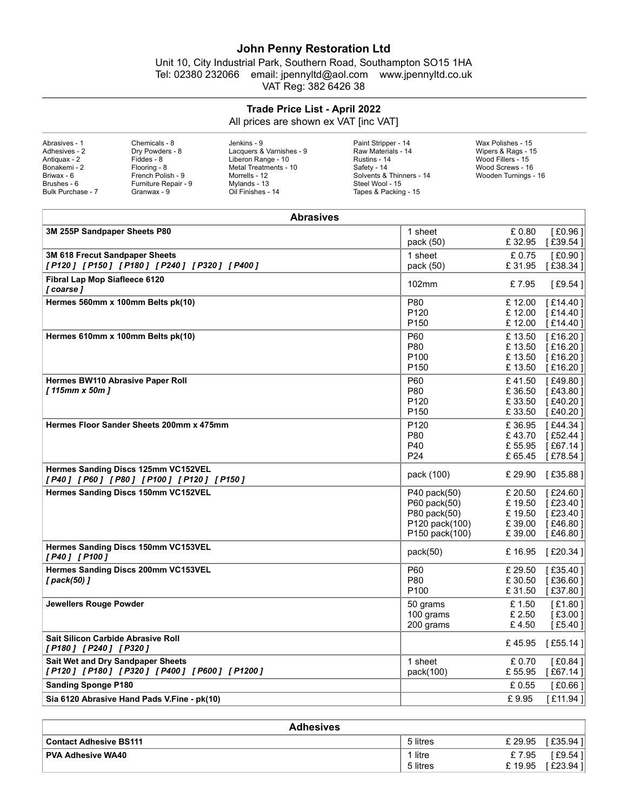## John Penny Restoration Ltd

## Trade Price List - April 2022

| Abrasives - 1     | Chemicals - 8        | Jenkins - 9              | Paint Stripper - 14      | Wax Polishes - 15    |  |
|-------------------|----------------------|--------------------------|--------------------------|----------------------|--|
| Adhesives - 2     | Drv Powders - 8      | Lacquers & Varnishes - 9 | Raw Materials - 14       | Wipers & Rags - 15   |  |
| Antiquax - 2      | Fiddes - 8           | Liberon Range - 10       | Rustins - 14             | Wood Fillers - 15    |  |
| Bonakemi - 2      | Flooring - 8         | Metal Treatments - 10    | Safety - 14              | Wood Screws - 16     |  |
| Briwax - 6        | French Polish - 9    | Morrells - 12            | Solvents & Thinners - 14 | Wooden Turnings - 16 |  |
| Brushes - 6       | Furniture Repair - 9 | Mylands - 13             | Steel Wool - 15          |                      |  |
| Bulk Purchase - 7 | Granwax - 9          | Oil Finishes - 14        | Tapes & Packing - 15     |                      |  |
|                   |                      |                          |                          |                      |  |

| <b>John Penny Restoration Ltd</b><br>Unit 10, City Industrial Park, Southern Road, Southampton SO15 1HA<br>email: jpennyltd@aol.com<br>Tel: 02380 232066<br>www.jpennyltd.co.uk<br>VAT Reg: 382 6426 38<br>Trade Price List - April 2022<br>All prices are shown ex VAT [inc VAT]<br>Chemicals - 8<br>Wax Polishes - 15<br>Abrasives - 1<br>Jenkins - 9<br>Paint Stripper - 14<br>Raw Materials - 14<br>Adhesives - 2<br>Dry Powders - 8<br>Lacquers & Varnishes - 9<br>Wipers & Rags - 15<br>Wood Fillers - 15<br>Fiddes - 8<br>Liberon Range - 10<br>Rustins - 14<br>Antiquax - 2<br>Bonakemi - 2<br>Flooring - 8<br>Metal Treatments - 10<br>Safety - 14<br>Wood Screws - 16<br>Briwax - 6<br>French Polish - 9<br>Morrells - 12<br>Solvents & Thinners - 14<br>Wooden Turnings - 16<br>Furniture Repair - 9<br>Brushes - 6<br>Mylands - 13<br>Steel Wool - 15<br>Oil Finishes - 14<br>Bulk Purchase - 7<br>Granwax - 9<br>Tapes & Packing - 15<br><b>Abrasives</b><br>3M 255P Sandpaper Sheets P80<br>1 sheet<br>£ 0.80<br>[£0.96]<br>pack (50)<br>£32.95<br>[£39.54]<br>3M 618 Frecut Sandpaper Sheets<br>1 sheet<br>£0.75<br>[£0.90]<br>[P120] [P150] [P180] [P240] [P320] [P400]<br>pack (50)<br>[£38.34]<br>£31.95<br>Fibral Lap Mop Siafleece 6120<br>$[£9.54]$<br>102mm<br>£7.95<br>[ coarse ]<br>Hermes 560mm x 100mm Belts pk(10)<br>P80<br>£12.00<br>[£14.40]<br>P <sub>120</sub><br>£12.00<br>[£14.40]<br>P <sub>150</sub><br>£12.00<br>[£14.40]<br>P60<br>£13.50<br>Hermes 610mm x 100mm Belts pk(10)<br>P80<br>£13.50<br>[£16.20]<br>P <sub>100</sub><br>£13.50<br>[£16.20]<br>P <sub>150</sub><br>£13.50<br>[£16.20]<br>Hermes BW110 Abrasive Paper Roll<br>P60<br>£41.50<br>[£49.80]<br>[115mm x 50m]<br>P80<br>£ 36.50<br>[£43.80]<br>P <sub>120</sub><br>£33.50<br>[£40.20]<br>P <sub>150</sub><br>£33.50<br>[£40.20]<br>P120<br>Hermes Floor Sander Sheets 200mm x 475mm<br>£36.95<br>P80<br>£43.70<br>[£67.14]<br>P40<br>£ 55.95<br>P <sub>24</sub><br>£65.45<br>Hermes Sanding Discs 125mm VC152VEL<br>pack (100)<br>£ 29.90<br>[£35.88]<br>[P40] [P60] [P80] [P100] [P120] [P150]<br>Hermes Sanding Discs 150mm VC152VEL<br>P40 pack(50)<br>£ 20.50<br>[£24.60]<br>P60 pack(50)<br>£19.50<br>P80 pack(50)<br>£19.50<br>P120 pack(100)<br>£39.00<br>[£46.80]<br>P150 pack(100)<br>£39.00<br>Hermes Sanding Discs 150mm VC153VEL<br>pack(50)<br>£16.95<br>[P40] [P100]<br>Hermes Sanding Discs 200mm VC153VEL<br>P60<br>£ 29.50<br>P80<br>[ pack(50) ]<br>£30.50<br>P <sub>100</sub><br>£31.50<br>[£1.80]<br>Jewellers Rouge Powder<br>50 grams<br>£1.50<br>100 grams<br>£ 2.50<br>£4.50<br>200 grams<br>Sait Silicon Carbide Abrasive Roll<br>£45.95<br>[P180] [P240] [P320]<br>Sait Wet and Dry Sandpaper Sheets<br>1 sheet<br>[£0.84]<br>£ 0.70<br>[P120] [P180] [P320] [P400] [P600] [P1200]<br>pack(100)<br>£ 55.95<br><b>Sanding Sponge P180</b><br>£ 0.55<br>Sia 6120 Abrasive Hand Pads V.Fine - pk(10)<br>£9.95<br><b>Adhesives</b><br><b>Contact Adhesive BS111</b><br>5 litres<br>£ 29.95<br>1 litre<br><b>PVA Adhesive WA40</b><br>£7.95<br>5 litres<br>£19.95 |  |
|--------------------------------------------------------------------------------------------------------------------------------------------------------------------------------------------------------------------------------------------------------------------------------------------------------------------------------------------------------------------------------------------------------------------------------------------------------------------------------------------------------------------------------------------------------------------------------------------------------------------------------------------------------------------------------------------------------------------------------------------------------------------------------------------------------------------------------------------------------------------------------------------------------------------------------------------------------------------------------------------------------------------------------------------------------------------------------------------------------------------------------------------------------------------------------------------------------------------------------------------------------------------------------------------------------------------------------------------------------------------------------------------------------------------------------------------------------------------------------------------------------------------------------------------------------------------------------------------------------------------------------------------------------------------------------------------------------------------------------------------------------------------------------------------------------------------------------------------------------------------------------------------------------------------------------------------------------------------------------------------------------------------------------------------------------------------------------------------------------------------------------------------------------------------------------------------------------------------------------------------------------------------------------------------------------------------------------------------------------------------------------------------------------------------------------------------------------------------------------------------------------------------------------------------------------------------------------------------------------------------------------------------------------------------------------------------------------------------------------------------------------------------------------------------------------------------------------------------------------------------------------------------------------------------------------------------------------------------------------------------------------------------------------------------------------------------------------------------------|--|
| [£16.20]<br>[£44.34]<br>[£78.54]<br>[£23.40]<br>[£23.40]<br>[£20.34]<br>[£35.40]<br>[£36.60]<br>[£37.80]<br>[£3.00]<br>[£55.14]<br>[£0.66]<br>[£35.94]<br>[£9.54]                                                                                                                                                                                                                                                                                                                                                                                                                                                                                                                                                                                                                                                                                                                                                                                                                                                                                                                                                                                                                                                                                                                                                                                                                                                                                                                                                                                                                                                                                                                                                                                                                                                                                                                                                                                                                                                                                                                                                                                                                                                                                                                                                                                                                                                                                                                                                                                                                                                                                                                                                                                                                                                                                                                                                                                                                                                                                                                                |  |
|                                                                                                                                                                                                                                                                                                                                                                                                                                                                                                                                                                                                                                                                                                                                                                                                                                                                                                                                                                                                                                                                                                                                                                                                                                                                                                                                                                                                                                                                                                                                                                                                                                                                                                                                                                                                                                                                                                                                                                                                                                                                                                                                                                                                                                                                                                                                                                                                                                                                                                                                                                                                                                                                                                                                                                                                                                                                                                                                                                                                                                                                                                  |  |
|                                                                                                                                                                                                                                                                                                                                                                                                                                                                                                                                                                                                                                                                                                                                                                                                                                                                                                                                                                                                                                                                                                                                                                                                                                                                                                                                                                                                                                                                                                                                                                                                                                                                                                                                                                                                                                                                                                                                                                                                                                                                                                                                                                                                                                                                                                                                                                                                                                                                                                                                                                                                                                                                                                                                                                                                                                                                                                                                                                                                                                                                                                  |  |
|                                                                                                                                                                                                                                                                                                                                                                                                                                                                                                                                                                                                                                                                                                                                                                                                                                                                                                                                                                                                                                                                                                                                                                                                                                                                                                                                                                                                                                                                                                                                                                                                                                                                                                                                                                                                                                                                                                                                                                                                                                                                                                                                                                                                                                                                                                                                                                                                                                                                                                                                                                                                                                                                                                                                                                                                                                                                                                                                                                                                                                                                                                  |  |
| [£52.44]<br>[£46.80]<br>[£5.40]<br>[£67.14]<br>[£11.94]<br>[£23.94]                                                                                                                                                                                                                                                                                                                                                                                                                                                                                                                                                                                                                                                                                                                                                                                                                                                                                                                                                                                                                                                                                                                                                                                                                                                                                                                                                                                                                                                                                                                                                                                                                                                                                                                                                                                                                                                                                                                                                                                                                                                                                                                                                                                                                                                                                                                                                                                                                                                                                                                                                                                                                                                                                                                                                                                                                                                                                                                                                                                                                              |  |
|                                                                                                                                                                                                                                                                                                                                                                                                                                                                                                                                                                                                                                                                                                                                                                                                                                                                                                                                                                                                                                                                                                                                                                                                                                                                                                                                                                                                                                                                                                                                                                                                                                                                                                                                                                                                                                                                                                                                                                                                                                                                                                                                                                                                                                                                                                                                                                                                                                                                                                                                                                                                                                                                                                                                                                                                                                                                                                                                                                                                                                                                                                  |  |
|                                                                                                                                                                                                                                                                                                                                                                                                                                                                                                                                                                                                                                                                                                                                                                                                                                                                                                                                                                                                                                                                                                                                                                                                                                                                                                                                                                                                                                                                                                                                                                                                                                                                                                                                                                                                                                                                                                                                                                                                                                                                                                                                                                                                                                                                                                                                                                                                                                                                                                                                                                                                                                                                                                                                                                                                                                                                                                                                                                                                                                                                                                  |  |
|                                                                                                                                                                                                                                                                                                                                                                                                                                                                                                                                                                                                                                                                                                                                                                                                                                                                                                                                                                                                                                                                                                                                                                                                                                                                                                                                                                                                                                                                                                                                                                                                                                                                                                                                                                                                                                                                                                                                                                                                                                                                                                                                                                                                                                                                                                                                                                                                                                                                                                                                                                                                                                                                                                                                                                                                                                                                                                                                                                                                                                                                                                  |  |
|                                                                                                                                                                                                                                                                                                                                                                                                                                                                                                                                                                                                                                                                                                                                                                                                                                                                                                                                                                                                                                                                                                                                                                                                                                                                                                                                                                                                                                                                                                                                                                                                                                                                                                                                                                                                                                                                                                                                                                                                                                                                                                                                                                                                                                                                                                                                                                                                                                                                                                                                                                                                                                                                                                                                                                                                                                                                                                                                                                                                                                                                                                  |  |
|                                                                                                                                                                                                                                                                                                                                                                                                                                                                                                                                                                                                                                                                                                                                                                                                                                                                                                                                                                                                                                                                                                                                                                                                                                                                                                                                                                                                                                                                                                                                                                                                                                                                                                                                                                                                                                                                                                                                                                                                                                                                                                                                                                                                                                                                                                                                                                                                                                                                                                                                                                                                                                                                                                                                                                                                                                                                                                                                                                                                                                                                                                  |  |
|                                                                                                                                                                                                                                                                                                                                                                                                                                                                                                                                                                                                                                                                                                                                                                                                                                                                                                                                                                                                                                                                                                                                                                                                                                                                                                                                                                                                                                                                                                                                                                                                                                                                                                                                                                                                                                                                                                                                                                                                                                                                                                                                                                                                                                                                                                                                                                                                                                                                                                                                                                                                                                                                                                                                                                                                                                                                                                                                                                                                                                                                                                  |  |
|                                                                                                                                                                                                                                                                                                                                                                                                                                                                                                                                                                                                                                                                                                                                                                                                                                                                                                                                                                                                                                                                                                                                                                                                                                                                                                                                                                                                                                                                                                                                                                                                                                                                                                                                                                                                                                                                                                                                                                                                                                                                                                                                                                                                                                                                                                                                                                                                                                                                                                                                                                                                                                                                                                                                                                                                                                                                                                                                                                                                                                                                                                  |  |
|                                                                                                                                                                                                                                                                                                                                                                                                                                                                                                                                                                                                                                                                                                                                                                                                                                                                                                                                                                                                                                                                                                                                                                                                                                                                                                                                                                                                                                                                                                                                                                                                                                                                                                                                                                                                                                                                                                                                                                                                                                                                                                                                                                                                                                                                                                                                                                                                                                                                                                                                                                                                                                                                                                                                                                                                                                                                                                                                                                                                                                                                                                  |  |
|                                                                                                                                                                                                                                                                                                                                                                                                                                                                                                                                                                                                                                                                                                                                                                                                                                                                                                                                                                                                                                                                                                                                                                                                                                                                                                                                                                                                                                                                                                                                                                                                                                                                                                                                                                                                                                                                                                                                                                                                                                                                                                                                                                                                                                                                                                                                                                                                                                                                                                                                                                                                                                                                                                                                                                                                                                                                                                                                                                                                                                                                                                  |  |
|                                                                                                                                                                                                                                                                                                                                                                                                                                                                                                                                                                                                                                                                                                                                                                                                                                                                                                                                                                                                                                                                                                                                                                                                                                                                                                                                                                                                                                                                                                                                                                                                                                                                                                                                                                                                                                                                                                                                                                                                                                                                                                                                                                                                                                                                                                                                                                                                                                                                                                                                                                                                                                                                                                                                                                                                                                                                                                                                                                                                                                                                                                  |  |
|                                                                                                                                                                                                                                                                                                                                                                                                                                                                                                                                                                                                                                                                                                                                                                                                                                                                                                                                                                                                                                                                                                                                                                                                                                                                                                                                                                                                                                                                                                                                                                                                                                                                                                                                                                                                                                                                                                                                                                                                                                                                                                                                                                                                                                                                                                                                                                                                                                                                                                                                                                                                                                                                                                                                                                                                                                                                                                                                                                                                                                                                                                  |  |
|                                                                                                                                                                                                                                                                                                                                                                                                                                                                                                                                                                                                                                                                                                                                                                                                                                                                                                                                                                                                                                                                                                                                                                                                                                                                                                                                                                                                                                                                                                                                                                                                                                                                                                                                                                                                                                                                                                                                                                                                                                                                                                                                                                                                                                                                                                                                                                                                                                                                                                                                                                                                                                                                                                                                                                                                                                                                                                                                                                                                                                                                                                  |  |
|                                                                                                                                                                                                                                                                                                                                                                                                                                                                                                                                                                                                                                                                                                                                                                                                                                                                                                                                                                                                                                                                                                                                                                                                                                                                                                                                                                                                                                                                                                                                                                                                                                                                                                                                                                                                                                                                                                                                                                                                                                                                                                                                                                                                                                                                                                                                                                                                                                                                                                                                                                                                                                                                                                                                                                                                                                                                                                                                                                                                                                                                                                  |  |
|                                                                                                                                                                                                                                                                                                                                                                                                                                                                                                                                                                                                                                                                                                                                                                                                                                                                                                                                                                                                                                                                                                                                                                                                                                                                                                                                                                                                                                                                                                                                                                                                                                                                                                                                                                                                                                                                                                                                                                                                                                                                                                                                                                                                                                                                                                                                                                                                                                                                                                                                                                                                                                                                                                                                                                                                                                                                                                                                                                                                                                                                                                  |  |
|                                                                                                                                                                                                                                                                                                                                                                                                                                                                                                                                                                                                                                                                                                                                                                                                                                                                                                                                                                                                                                                                                                                                                                                                                                                                                                                                                                                                                                                                                                                                                                                                                                                                                                                                                                                                                                                                                                                                                                                                                                                                                                                                                                                                                                                                                                                                                                                                                                                                                                                                                                                                                                                                                                                                                                                                                                                                                                                                                                                                                                                                                                  |  |
|                                                                                                                                                                                                                                                                                                                                                                                                                                                                                                                                                                                                                                                                                                                                                                                                                                                                                                                                                                                                                                                                                                                                                                                                                                                                                                                                                                                                                                                                                                                                                                                                                                                                                                                                                                                                                                                                                                                                                                                                                                                                                                                                                                                                                                                                                                                                                                                                                                                                                                                                                                                                                                                                                                                                                                                                                                                                                                                                                                                                                                                                                                  |  |
|                                                                                                                                                                                                                                                                                                                                                                                                                                                                                                                                                                                                                                                                                                                                                                                                                                                                                                                                                                                                                                                                                                                                                                                                                                                                                                                                                                                                                                                                                                                                                                                                                                                                                                                                                                                                                                                                                                                                                                                                                                                                                                                                                                                                                                                                                                                                                                                                                                                                                                                                                                                                                                                                                                                                                                                                                                                                                                                                                                                                                                                                                                  |  |
|                                                                                                                                                                                                                                                                                                                                                                                                                                                                                                                                                                                                                                                                                                                                                                                                                                                                                                                                                                                                                                                                                                                                                                                                                                                                                                                                                                                                                                                                                                                                                                                                                                                                                                                                                                                                                                                                                                                                                                                                                                                                                                                                                                                                                                                                                                                                                                                                                                                                                                                                                                                                                                                                                                                                                                                                                                                                                                                                                                                                                                                                                                  |  |
|                                                                                                                                                                                                                                                                                                                                                                                                                                                                                                                                                                                                                                                                                                                                                                                                                                                                                                                                                                                                                                                                                                                                                                                                                                                                                                                                                                                                                                                                                                                                                                                                                                                                                                                                                                                                                                                                                                                                                                                                                                                                                                                                                                                                                                                                                                                                                                                                                                                                                                                                                                                                                                                                                                                                                                                                                                                                                                                                                                                                                                                                                                  |  |
|                                                                                                                                                                                                                                                                                                                                                                                                                                                                                                                                                                                                                                                                                                                                                                                                                                                                                                                                                                                                                                                                                                                                                                                                                                                                                                                                                                                                                                                                                                                                                                                                                                                                                                                                                                                                                                                                                                                                                                                                                                                                                                                                                                                                                                                                                                                                                                                                                                                                                                                                                                                                                                                                                                                                                                                                                                                                                                                                                                                                                                                                                                  |  |
|                                                                                                                                                                                                                                                                                                                                                                                                                                                                                                                                                                                                                                                                                                                                                                                                                                                                                                                                                                                                                                                                                                                                                                                                                                                                                                                                                                                                                                                                                                                                                                                                                                                                                                                                                                                                                                                                                                                                                                                                                                                                                                                                                                                                                                                                                                                                                                                                                                                                                                                                                                                                                                                                                                                                                                                                                                                                                                                                                                                                                                                                                                  |  |
|                                                                                                                                                                                                                                                                                                                                                                                                                                                                                                                                                                                                                                                                                                                                                                                                                                                                                                                                                                                                                                                                                                                                                                                                                                                                                                                                                                                                                                                                                                                                                                                                                                                                                                                                                                                                                                                                                                                                                                                                                                                                                                                                                                                                                                                                                                                                                                                                                                                                                                                                                                                                                                                                                                                                                                                                                                                                                                                                                                                                                                                                                                  |  |
|                                                                                                                                                                                                                                                                                                                                                                                                                                                                                                                                                                                                                                                                                                                                                                                                                                                                                                                                                                                                                                                                                                                                                                                                                                                                                                                                                                                                                                                                                                                                                                                                                                                                                                                                                                                                                                                                                                                                                                                                                                                                                                                                                                                                                                                                                                                                                                                                                                                                                                                                                                                                                                                                                                                                                                                                                                                                                                                                                                                                                                                                                                  |  |
|                                                                                                                                                                                                                                                                                                                                                                                                                                                                                                                                                                                                                                                                                                                                                                                                                                                                                                                                                                                                                                                                                                                                                                                                                                                                                                                                                                                                                                                                                                                                                                                                                                                                                                                                                                                                                                                                                                                                                                                                                                                                                                                                                                                                                                                                                                                                                                                                                                                                                                                                                                                                                                                                                                                                                                                                                                                                                                                                                                                                                                                                                                  |  |
|                                                                                                                                                                                                                                                                                                                                                                                                                                                                                                                                                                                                                                                                                                                                                                                                                                                                                                                                                                                                                                                                                                                                                                                                                                                                                                                                                                                                                                                                                                                                                                                                                                                                                                                                                                                                                                                                                                                                                                                                                                                                                                                                                                                                                                                                                                                                                                                                                                                                                                                                                                                                                                                                                                                                                                                                                                                                                                                                                                                                                                                                                                  |  |
|                                                                                                                                                                                                                                                                                                                                                                                                                                                                                                                                                                                                                                                                                                                                                                                                                                                                                                                                                                                                                                                                                                                                                                                                                                                                                                                                                                                                                                                                                                                                                                                                                                                                                                                                                                                                                                                                                                                                                                                                                                                                                                                                                                                                                                                                                                                                                                                                                                                                                                                                                                                                                                                                                                                                                                                                                                                                                                                                                                                                                                                                                                  |  |
|                                                                                                                                                                                                                                                                                                                                                                                                                                                                                                                                                                                                                                                                                                                                                                                                                                                                                                                                                                                                                                                                                                                                                                                                                                                                                                                                                                                                                                                                                                                                                                                                                                                                                                                                                                                                                                                                                                                                                                                                                                                                                                                                                                                                                                                                                                                                                                                                                                                                                                                                                                                                                                                                                                                                                                                                                                                                                                                                                                                                                                                                                                  |  |
|                                                                                                                                                                                                                                                                                                                                                                                                                                                                                                                                                                                                                                                                                                                                                                                                                                                                                                                                                                                                                                                                                                                                                                                                                                                                                                                                                                                                                                                                                                                                                                                                                                                                                                                                                                                                                                                                                                                                                                                                                                                                                                                                                                                                                                                                                                                                                                                                                                                                                                                                                                                                                                                                                                                                                                                                                                                                                                                                                                                                                                                                                                  |  |

| <b>Adhesives</b>              |          |         |            |
|-------------------------------|----------|---------|------------|
| <b>Contact Adhesive BS111</b> | 5 litres | £ 29.95 | [£35.94 ]] |
| <b>PVA Adhesive WA40</b>      | litre    | £7.95   | [£9.54 ]   |
|                               | 5 litres | £19.95  | [£23.94]   |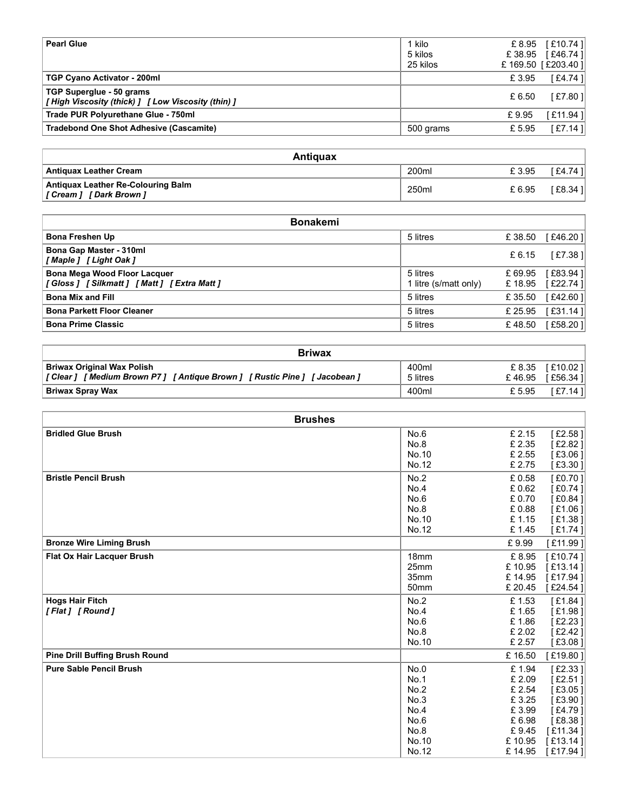| <b>Pearl Glue</b>                                                                         | 1 kilo                            | £8.95                        | [£10.74]               |
|-------------------------------------------------------------------------------------------|-----------------------------------|------------------------------|------------------------|
|                                                                                           | 5 kilos<br>25 kilos               | £38.95<br>£ 169.50 [£203.40] | [£46.74]               |
| TGP Cyano Activator - 200ml                                                               |                                   | £3.95                        | [£4.74]                |
|                                                                                           |                                   |                              | [£7.80]                |
| TGP Superglue - 50 grams                                                                  |                                   | £ 6.50                       |                        |
| [High Viscosity (thick) ] [ Low Viscosity (thin) ]<br>Trade PUR Polyurethane Glue - 750ml |                                   | £9.95                        | [£11.94]               |
| <b>Tradebond One Shot Adhesive (Cascamite)</b>                                            | 500 grams                         | £5.95                        | [£7.14]                |
|                                                                                           |                                   |                              |                        |
| Antiquax<br><b>Antiquax Leather Cream</b>                                                 | 200ml                             | £3.95                        |                        |
| Antiquax Leather Re-Colouring Balm<br>[Cream] [Dark Brown]                                | 250ml                             | £6.95                        | [£4.74]<br>[ $£8.34$ ] |
|                                                                                           |                                   |                              |                        |
| <b>Bonakemi</b>                                                                           |                                   |                              |                        |
| <b>Bona Freshen Up</b>                                                                    | 5 litres                          | £38.50                       | [£46.20]               |
| Bona Gap Master - 310ml<br>[Maple] [ Light Oak ]                                          |                                   | £6.15                        | [£7.38]                |
| <b>Bona Mega Wood Floor Lacquer</b><br>[Gloss ] [Silkmatt ] [Matt ] [Extra Matt ]         | 5 litres<br>1 litre (s/matt only) | £ 69.95<br>£18.95            | [£83.94]<br>[£22.74]   |

| <b>Antiguax</b>                                                       |       |        |           |
|-----------------------------------------------------------------------|-------|--------|-----------|
| <b>Antiquax Leather Cream</b>                                         | 200ml | £ 3.95 | E4.74 1   |
| <b>Antiquax Leather Re-Colouring Balm</b><br>[ Cream ] [ Dark Brown ] | 250ml | £ 6.95 | [ £8.34 ] |

| <b>Pearl Glue</b>                                                              | 1 kilo                            | £8.95             | [£10.74]             |
|--------------------------------------------------------------------------------|-----------------------------------|-------------------|----------------------|
|                                                                                | 5 kilos                           | £38.95            | [£46.74]             |
|                                                                                | 25 kilos                          |                   | £169.50 [£203.40]    |
| TGP Cyano Activator - 200ml                                                    |                                   | £3.95             | [£4.74]              |
| TGP Superglue - 50 grams<br>[High Viscosity (thick) ] [ Low Viscosity (thin) ] |                                   | £ 6.50            | [£7.80]              |
| Trade PUR Polyurethane Glue - 750ml                                            |                                   | £9.95             | [£11.94]             |
| <b>Tradebond One Shot Adhesive (Cascamite)</b>                                 | 500 grams                         | £5.95             | [£7.14]              |
|                                                                                |                                   |                   |                      |
| <b>Antiquax</b>                                                                |                                   |                   |                      |
| <b>Antiquax Leather Cream</b>                                                  | 200ml                             | £3.95             | [£4.74]              |
| <b>Antiquax Leather Re-Colouring Balm</b><br>[Cream] [Dark Brown]              | 250ml                             | £6.95             | [£8.34]              |
|                                                                                |                                   |                   |                      |
| <b>Bonakemi</b>                                                                |                                   |                   |                      |
| <b>Bona Freshen Up</b>                                                         | 5 litres                          | £38.50            | [£46.20]             |
| Bona Gap Master - 310ml<br>[Maple ] [ Light Oak ]                              |                                   | £6.15             | $[£7.38]$            |
| Bona Mega Wood Floor Lacquer<br>[Gloss ] [Silkmatt ] [Matt ] [Extra Matt ]     | 5 litres<br>1 litre (s/matt only) | £ 69.95<br>£18.95 | [£83.94]<br>[£22.74] |
| <b>Bona Mix and Fill</b>                                                       | 5 litres                          | £35.50            | [£42.60]             |
| <b>Bona Parkett Floor Cleaner</b>                                              | 5 litres                          | £ 25.95           | [£31.14]             |
| <b>Bona Prime Classic</b>                                                      | 5 litres                          | £48.50            | [£58.20]             |
|                                                                                |                                   |                   |                      |
| <b>Briwax</b>                                                                  |                                   |                   |                      |
| <b>Briwax Original Wax Polish</b>                                              | 400ml                             | £ 8.35            | [£10.02]             |
| [Clear] [Medium Brown P7] [Antique Brown] [Rustic Pine] [Jacobean]             | 5 litres                          | £46.95            | [£56.34]             |
| <b>Briwax Spray Wax</b>                                                        | 400ml                             | £5.95             | [£7.14]              |
|                                                                                |                                   |                   |                      |
| <b>Brushes</b>                                                                 |                                   |                   |                      |
| <b>Bridled Glue Brush</b>                                                      | No.6                              | £ 2.15            | E2.58                |
|                                                                                | No.8                              | £2.35             | £2.82 $\overline{)}$ |
|                                                                                | No.10<br>No.12                    | £ 2.55<br>£ 2.75  | [£3.06]<br>[£3.30]   |
| <b>Bristle Pencil Brush</b>                                                    | No.2                              | £0.58             | [£0.70]              |
|                                                                                | No.4                              | £0.62             | £0.74                |
|                                                                                | No.6                              | £0.70             | [£0.84]              |
|                                                                                | No.8                              | £ 0.88            | [£1.06]              |
|                                                                                | $N_0$ 10                          | $f$ 1 1 $5$       |                      |

| <b>Briwax</b>                                                                                           |                   |                   |                        |
|---------------------------------------------------------------------------------------------------------|-------------------|-------------------|------------------------|
| <b>Briwax Original Wax Polish</b><br>[Clear] [Medium Brown P7] [Antique Brown] [Rustic Pine] [Jacobean] | 400ml<br>5 litres | £ 8.35<br>£ 46.95 | [£10.021<br>I £56.34 1 |
| <b>Briwax Spray Wax</b>                                                                                 | 400ml             | £ 5.95            | [£7.14 ]               |

| <b>Bonakemi</b>                                                                   |                                   |                   |                      |
|-----------------------------------------------------------------------------------|-----------------------------------|-------------------|----------------------|
| <b>Bona Freshen Up</b>                                                            | 5 litres                          | £38.50            | [£46.20]             |
| Bona Gap Master - 310ml<br>[Maple] [ Light Oak ]                                  |                                   | £6.15             | [ $£7.38$ ]          |
| <b>Bona Mega Wood Floor Lacquer</b><br>[Gloss ] [Silkmatt ] [Matt ] [Extra Matt ] | 5 litres<br>1 litre (s/matt only) | £ 69.95<br>£18.95 | [£83.94]<br>[£22.74] |
| <b>Bona Mix and Fill</b>                                                          | 5 litres                          | £ 35.50           | [£42.60]             |
| <b>Bona Parkett Floor Cleaner</b>                                                 | 5 litres                          | £ 25.95           | [£31.14]             |
| <b>Bona Prime Classic</b>                                                         | 5 litres                          | £48.50            | [£58.20]             |
| <b>Briwax</b>                                                                     |                                   |                   |                      |
| <b>Briwax Original Wax Polish</b>                                                 | 400ml                             | £ 8.35            |                      |
| [Clear] [Medium Brown P7] [Antique Brown] [Rustic Pine] [Jacobean]                | 5 litres                          | £46.95            | [£10.02]<br>[£56.34] |
| <b>Briwax Spray Wax</b>                                                           | 400ml                             | £5.95             | $[£7.14]$            |
|                                                                                   |                                   |                   |                      |
| <b>Brushes</b>                                                                    |                                   |                   |                      |
| <b>Bridled Glue Brush</b>                                                         | No.6                              | £2.15             | $E2.58$ ]            |
|                                                                                   | No.8<br>No.10                     | £2.35<br>£ 2.55   | $E2.82$ ]<br>[£3.06] |
|                                                                                   | No.12                             | £2.75             | [£3.30]              |
| <b>Bristle Pencil Brush</b>                                                       | No.2                              | £ 0.58            | [£0.70]              |
|                                                                                   | No.4                              | £0.62             | [ $£0.74$ ]          |
|                                                                                   | No.6                              | £ 0.70            | [£0.84]              |
|                                                                                   | No.8                              | £0.88             | [£1.06]              |
|                                                                                   | No.10                             | £1.15             | [£1.38]              |
|                                                                                   | No.12                             | £1.45             | [£1.74]              |
| <b>Bronze Wire Liming Brush</b>                                                   |                                   | £9.99             | [£11.99]             |
| Flat Ox Hair Lacquer Brush                                                        | 18mm                              | £ 8.95            | [£10.74]             |
|                                                                                   | 25mm                              | £10.95            | [£13.14]             |
|                                                                                   | 35mm                              | £14.95            | [£17.94]             |
|                                                                                   | 50mm                              | £ 20.45           | [£24.54]             |
| <b>Hogs Hair Fitch</b><br>[Flat] [Round]                                          | No.2<br>No.4                      | £1.53<br>£1.65    | [£1.84]<br>[£1.98]   |
|                                                                                   | No.6                              | £1.86             | [£2.23]              |
|                                                                                   | No.8                              | £ 2.02            | [£2.42]              |
|                                                                                   | No.10                             | £ 2.57            | [£3.08]              |
| <b>Pine Drill Buffing Brush Round</b>                                             |                                   | £ 16.50           | [£19.80]             |
| <b>Pure Sable Pencil Brush</b>                                                    | No.0                              | £ 1.94            | [ $£2.33$ ]          |
|                                                                                   | No.1                              | £ 2.09            | [£2.51]              |
|                                                                                   | No.2                              | £ 2.54            | [£3.05]              |
|                                                                                   | No.3                              | £ 3.25            | [ $£3.90$ ]          |
|                                                                                   | No.4                              | £ 3.99            | [£4.79]              |
|                                                                                   | No.6                              | £ 6.98            | [£8.38]              |
|                                                                                   | No.8                              | £9.45             | [£11.34]             |
|                                                                                   | No.10<br>No.12                    | £10.95<br>£14.95  | [£13.14]<br>[£17.94] |
|                                                                                   |                                   |                   |                      |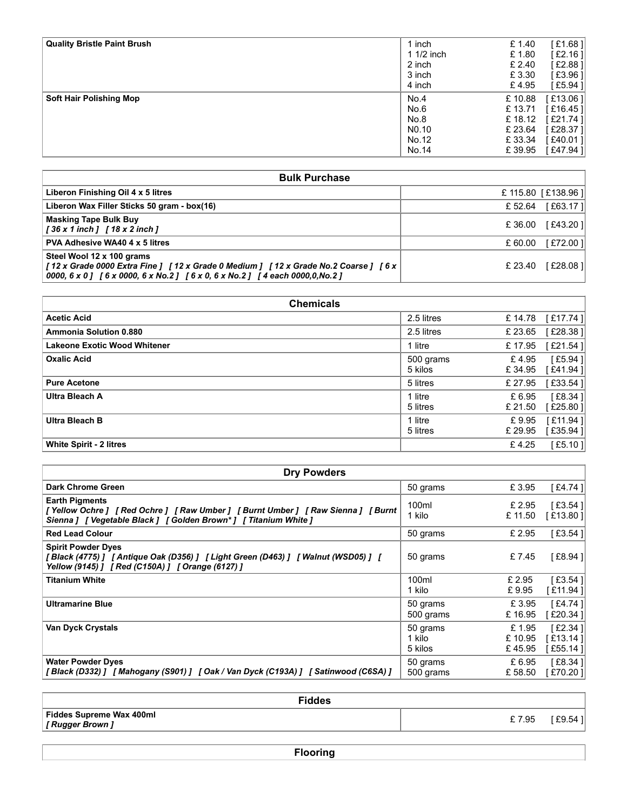| <b>Quality Bristle Paint Brush</b>                                                                                                                                                                                          | 1 inch           | £ 1.40           | [£1.68]                         |
|-----------------------------------------------------------------------------------------------------------------------------------------------------------------------------------------------------------------------------|------------------|------------------|---------------------------------|
|                                                                                                                                                                                                                             | 1 1/2 inch       | £1.80            | $[£2.16]$                       |
|                                                                                                                                                                                                                             | 2 inch           | £ 2.40           | [£2.88]                         |
|                                                                                                                                                                                                                             | 3 inch<br>4 inch | £3.30<br>£4.95   | [£3.96]<br>$[£5.94]$            |
| <b>Soft Hair Polishing Mop</b>                                                                                                                                                                                              | No.4             | £10.88           | [£13.06]                        |
|                                                                                                                                                                                                                             | No.6             | £ 13.71          | [£16.45]                        |
|                                                                                                                                                                                                                             | No.8             | £18.12           | [£21.74]                        |
|                                                                                                                                                                                                                             | NO.10            | £ 23.64          | [£28.37]                        |
|                                                                                                                                                                                                                             | No.12<br>No.14   | £33.34<br>£39.95 | [£40.01]<br>[£47.94]            |
|                                                                                                                                                                                                                             |                  |                  |                                 |
| <b>Bulk Purchase</b>                                                                                                                                                                                                        |                  |                  |                                 |
| Liberon Finishing Oil 4 x 5 litres                                                                                                                                                                                          |                  |                  | £ 115.80 [£138.96]              |
| Liberon Wax Filler Sticks 50 gram - box(16)                                                                                                                                                                                 |                  | £ 52.64          | [£63.17]                        |
| <b>Masking Tape Bulk Buy</b><br>[36 x 1 inch] [18 x 2 inch]                                                                                                                                                                 |                  |                  | £36.00 [£43.20]                 |
| PVA Adhesive WA40 4 x 5 litres                                                                                                                                                                                              |                  | £ 60.00          | [£72.00]                        |
| Steel Wool 12 x 100 grams<br>[12 x Grade 0000 Extra Fine ] [12 x Grade 0 Medium ] [12 x Grade No.2 Coarse ] [6 x  <br>0000, 6 x 0] $[6 \times 0000, 6 \times N_0.2]$ $[6 \times 0, 6 \times N_0.2]$ $[4$ each 0000,0, No.2] |                  |                  | £ 23.40 [£28.08]                |
|                                                                                                                                                                                                                             |                  |                  |                                 |
| <b>Chemicals</b>                                                                                                                                                                                                            |                  |                  |                                 |
| <b>Acetic Acid</b>                                                                                                                                                                                                          | 2.5 litres       |                  | £ 14.78 [£17.74]                |
| Ammonia Solution 0.880                                                                                                                                                                                                      | $2.5$ litrop     |                  | $C$ 22 $65$ $C$ $C$ 29 $29$ $1$ |

|                                                                                                                                                                                               | $1/2$ inch<br>1   | £1.80           | [£2.16]              |
|-----------------------------------------------------------------------------------------------------------------------------------------------------------------------------------------------|-------------------|-----------------|----------------------|
|                                                                                                                                                                                               | 2 inch<br>3 inch  | £ 2.40<br>£3.30 | [£2.88]<br>[£3.96]   |
|                                                                                                                                                                                               | 4 inch            | £4.95           | [£5.94]              |
| <b>Soft Hair Polishing Mop</b>                                                                                                                                                                | No.4              | £10.88          | [£13.06]             |
|                                                                                                                                                                                               | No.6              | £13.71          | [£16.45]             |
|                                                                                                                                                                                               | No.8              | £18.12          | [£21.74]             |
|                                                                                                                                                                                               | N <sub>0.10</sub> | £ 23.64         | [£28.37]             |
|                                                                                                                                                                                               | No.12             | £33.34          | [£40.01]             |
|                                                                                                                                                                                               | No.14             | £39.95          | [£47.94]             |
|                                                                                                                                                                                               |                   |                 |                      |
| <b>Bulk Purchase</b>                                                                                                                                                                          |                   |                 |                      |
| Liberon Finishing Oil 4 x 5 litres                                                                                                                                                            |                   |                 | £ 115.80 [£138.96]   |
| Liberon Wax Filler Sticks 50 gram - box(16)                                                                                                                                                   |                   | £52.64          | [£63.17]             |
| <b>Masking Tape Bulk Buy</b><br>[36 x 1 inch ] [18 x 2 inch ]                                                                                                                                 |                   | £ 36.00         | [£43.20]             |
| PVA Adhesive WA40 4 x 5 litres                                                                                                                                                                |                   | £ 60.00         | [£72.00]             |
| Steel Wool 12 x 100 grams<br>[12 x Grade 0000 Extra Fine ] [12 x Grade 0 Medium ] [12 x Grade No.2 Coarse ] [6 x<br>0000, 6 x 0] [6 x 0000, 6 x No.2] [6 x 0, 6 x No.2] [4 each 0000,0, No.2] |                   | £ 23.40         | [£28.08]             |
|                                                                                                                                                                                               |                   |                 |                      |
| <b>Chemicals</b>                                                                                                                                                                              |                   |                 |                      |
| <b>Acetic Acid</b>                                                                                                                                                                            | 2.5 litres        | £14.78          | $[£17.74]$           |
| <b>Ammonia Solution 0.880</b>                                                                                                                                                                 | 2.5 litres        | £ 23.65         | [£28.38]             |
| <b>Lakeone Exotic Wood Whitener</b>                                                                                                                                                           | 1 litre           | £17.95          | [£21.54]             |
| <b>Oxalic Acid</b>                                                                                                                                                                            | 500 grams         | £4.95           | [£5.94]              |
|                                                                                                                                                                                               | 5 kilos           | £34.95          | [£41.94]             |
| <b>Pure Acetone</b>                                                                                                                                                                           | 5 litres          | £ 27.95         | $[£33.54]$           |
| <b>Ultra Bleach A</b>                                                                                                                                                                         | 1 litre           | $F$ $695$       | $I$ $f$ $R$ $34$ $I$ |

|                                                                                                                                                                                               | 4 inch            | £4.95   | $   -$<br>[£5.94]  |
|-----------------------------------------------------------------------------------------------------------------------------------------------------------------------------------------------|-------------------|---------|--------------------|
| <b>Soft Hair Polishing Mop</b>                                                                                                                                                                | No.4              | £10.88  | [£13.06]           |
|                                                                                                                                                                                               | No.6              | £13.71  | [£16.45]           |
|                                                                                                                                                                                               | No.8              | £18.12  | [£21.74]           |
|                                                                                                                                                                                               | N <sub>0.10</sub> | £ 23.64 | [£28.37]           |
|                                                                                                                                                                                               | No.12             | £33.34  | [£40.01]           |
|                                                                                                                                                                                               | No.14             | £39.95  | [£47.94]           |
|                                                                                                                                                                                               |                   |         |                    |
| <b>Bulk Purchase</b>                                                                                                                                                                          |                   |         |                    |
| Liberon Finishing Oil 4 x 5 litres                                                                                                                                                            |                   |         | £ 115.80 [£138.96] |
| Liberon Wax Filler Sticks 50 gram - box(16)                                                                                                                                                   |                   | £52.64  | $[£63.17]$         |
| <b>Masking Tape Bulk Buy</b><br>[36 x 1 inch ] [18 x 2 inch ]                                                                                                                                 |                   | £ 36.00 | [£43.20]           |
| PVA Adhesive WA40 4 x 5 litres                                                                                                                                                                |                   | £ 60.00 | [£72.00]           |
| Steel Wool 12 x 100 grams<br>[12 x Grade 0000 Extra Fine ] [12 x Grade 0 Medium ] [12 x Grade No.2 Coarse ] [6 x<br>0000, 6 x 0] [6 x 0000, 6 x No.2] [6 x 0, 6 x No.2] [4 each 0000,0, No.2] |                   | £ 23.40 | [£28.08]           |
|                                                                                                                                                                                               |                   |         |                    |
| <b>Chemicals</b>                                                                                                                                                                              |                   |         |                    |
| <b>Acetic Acid</b>                                                                                                                                                                            | 2.5 litres        | £14.78  | [£17.74]           |
| Ammonia Solution 0.880                                                                                                                                                                        | 2.5 litres        | £ 23.65 | [£28.38]           |
| <b>Lakeone Exotic Wood Whitener</b>                                                                                                                                                           | 1 litre           | £17.95  | [£21.54]           |
| <b>Oxalic Acid</b>                                                                                                                                                                            | 500 grams         | £4.95   | [£5.94]            |
|                                                                                                                                                                                               | 5 kilos           | £34.95  | [£41.94]           |
| <b>Pure Acetone</b>                                                                                                                                                                           | 5 litres          | £ 27.95 | [£33.54]           |
| <b>Ultra Bleach A</b>                                                                                                                                                                         | 1 litre           | £ 6.95  | [£8.34]            |
|                                                                                                                                                                                               | 5 litres          | £ 21.50 | [£25.80]           |
| <b>Ultra Bleach B</b>                                                                                                                                                                         | 1 litre           | £9.95   | [£11.94]           |
|                                                                                                                                                                                               | 5 litres          | £ 29.95 | [£35.94]           |
| White Spirit - 2 litres                                                                                                                                                                       |                   | £4.25   | [£5.10]            |
|                                                                                                                                                                                               |                   |         |                    |
| <b>Dry Powders</b>                                                                                                                                                                            |                   |         |                    |
| <b>Dark Chrome Green</b>                                                                                                                                                                      | 50 grams          | £3.95   | [£4.74]            |
| <b>Earth Pigments</b>                                                                                                                                                                         | 100ml             | £ 2.95  | $[£3.54]$          |
| [Yellow Ochre] [Red Ochre] [Raw Umber] [Burnt Umber] [Raw Sienna] [Burnt<br>Sienna ] [ Vegetable Black ] [ Golden Brown* ] [ Titanium White ]                                                 | 1 kilo            | £ 11.50 | [£13.80]           |
| <b>Red Lead Colour</b>                                                                                                                                                                        | 50 grams          | £ 2.95  | $[£3.54]$          |
| <b>Spirit Powder Dyes</b><br>[Black (4775) ] [Antique Oak (D356) ] [Light Green (D463) ] [Walnut (WSD05) ] [<br>Yellow (9145) ] [ Red (C150A) ] [ Orange (6127) ]                             | 50 grams          | £7.45   | $[£8.94]$          |
| <b>Titanium White</b>                                                                                                                                                                         | 100ml             | £ 2.95  | $[£3.54]$          |
|                                                                                                                                                                                               | 1 kilo            | £9.95   | [£11.94]           |
| <b>Ultramarine Blue</b>                                                                                                                                                                       | 50 grams          | £3.95   | [£4.74]            |
|                                                                                                                                                                                               | 500 grams         | £16.95  | [£20.34]           |

| <b>Acetic Acid</b>                                                                                                                                                     | 2.5 litres                    | £14.78                    | [£17.74]                        |
|------------------------------------------------------------------------------------------------------------------------------------------------------------------------|-------------------------------|---------------------------|---------------------------------|
| <b>Ammonia Solution 0.880</b>                                                                                                                                          | 2.5 litres                    | £23.65                    | [£28.38]                        |
| <b>Lakeone Exotic Wood Whitener</b>                                                                                                                                    | 1 litre                       | £17.95                    | [£21.54]                        |
| <b>Oxalic Acid</b>                                                                                                                                                     | 500 grams<br>5 kilos          | £4.95<br>£34.95           | [£5.94]<br>[£41.94]             |
| <b>Pure Acetone</b>                                                                                                                                                    | 5 litres                      | £ 27.95                   | [£33.54]                        |
| <b>Ultra Bleach A</b>                                                                                                                                                  | 1 litre<br>5 litres           | £ 6.95<br>£ 21.50         | [ $£8.34$ ]<br>[£25.80]         |
| <b>Ultra Bleach B</b>                                                                                                                                                  | 1 litre<br>5 litres           | £9.95<br>£ 29.95          | [£11.94]<br>[£35.94]            |
| <b>White Spirit - 2 litres</b>                                                                                                                                         |                               | £4.25                     | [£5.10]                         |
|                                                                                                                                                                        |                               |                           |                                 |
| <b>Dry Powders</b>                                                                                                                                                     |                               |                           |                                 |
| <b>Dark Chrome Green</b>                                                                                                                                               | 50 grams                      | £3.95                     | [£4.74]                         |
| <b>Earth Pigments</b><br>[Yellow Ochre] [Red Ochre] [Raw Umber] [Burnt Umber] [Raw Sienna] [Burnt<br>Sienna ] [ Vegetable Black ] [ Golden Brown* ] [ Titanium White ] | 100ml<br>1 kilo               | £ 2.95<br>£ 11.50         | [ $£3.54$ ]<br>[£13.80]         |
| <b>Red Lead Colour</b>                                                                                                                                                 | 50 grams                      | £ 2.95                    | $[£3.54]$                       |
| <b>Spirit Powder Dyes</b><br>[Black (4775) ] [Antique Oak (D356) ] [Light Green (D463) ] [Walnut (WSD05) ] [<br>Yellow (9145) ] [ Red (C150A) ] [ Orange (6127) ]      | 50 grams                      | £7.45                     | [£8.94]                         |
| <b>Titanium White</b>                                                                                                                                                  | 100ml<br>1 kilo               | £ 2.95<br>£9.95           | [£3.54]<br>[£11.94]             |
| <b>Ultramarine Blue</b>                                                                                                                                                | 50 grams<br>500 grams         | £3.95<br>£16.95           | [£4.74]<br>[£20.34]             |
| Van Dyck Crystals                                                                                                                                                      | 50 grams<br>1 kilo<br>5 kilos | £1.95<br>£10.95<br>£45.95 | [£2.34]<br>[£13.14]<br>[£55.14] |
| <b>Water Powder Dyes</b><br>[Black (D332) ] [Mahogany (S901) ] [Oak / Van Dyck (C193A) ] [Satinwood (C6SA) ]                                                           | 50 grams<br>500 grams         | £ 6.95<br>£58.50          | [£8.34]<br>[£70.20]             |
| <b>Fiddes</b>                                                                                                                                                          |                               |                           |                                 |
| Fiddes Supreme Wax 400ml<br>[ Rugger Brown ]                                                                                                                           |                               | £7.95                     | [£9.54]                         |
| <b>Flooring</b>                                                                                                                                                        |                               |                           |                                 |

| <b>Fiddes</b>            |        |
|--------------------------|--------|
| Fiddes Supreme Wax 400ml | £ 7.95 |
| [ Rugger Brown ]         | `£9.54 |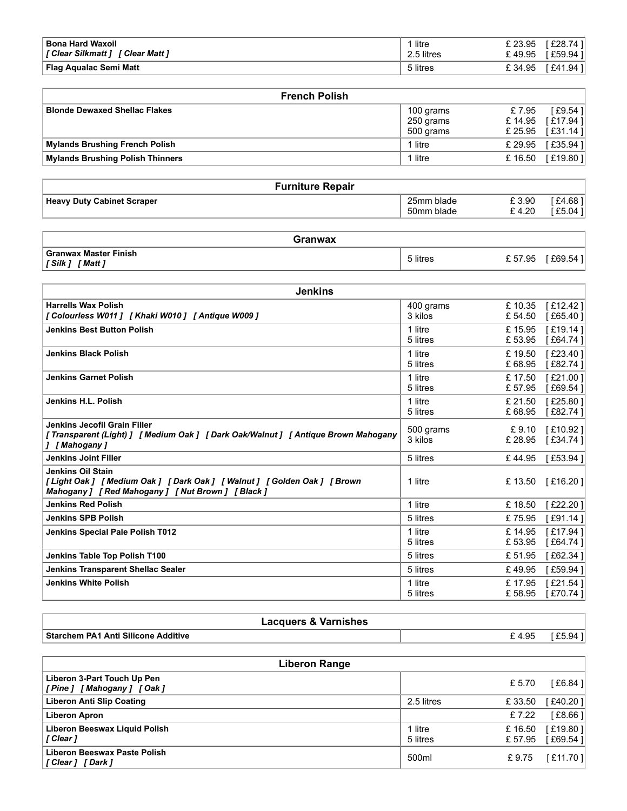| <b>Bona Hard Waxoil</b>                                      | 1 litre    | [£28.74]<br>£ 23.95                   |
|--------------------------------------------------------------|------------|---------------------------------------|
| [Clear Silkmatt] [Clear Matt]                                | 2.5 litres | £49.95<br>[£59.94]                    |
| <b>Flag Aqualac Semi Matt</b>                                | 5 litres   | £34.95<br>[£41.94]                    |
|                                                              |            |                                       |
| <b>French Polish</b><br><b>Blonde Dewaxed Shellac Flakes</b> | 100 grams  | £7.95<br>[£9.54]<br>$0.1105$ $0.2201$ |

| <b>Bona Hard Waxoil</b>                                                     | 1 litre                | £ 23.95           | [£28.74]             |
|-----------------------------------------------------------------------------|------------------------|-------------------|----------------------|
| [ Clear Silkmatt ] [ Clear Matt ]<br>Flag Aqualac Semi Matt                 | 2.5 litres<br>5 litres | £49.95<br>£34.95  | [£59.94]<br>[£41.94] |
|                                                                             |                        |                   |                      |
| <b>French Polish</b>                                                        |                        |                   |                      |
| <b>Blonde Dewaxed Shellac Flakes</b>                                        | 100 grams              | £7.95             | $[£9.54]$            |
|                                                                             | 250 grams              | £14.95            | [£17.94]             |
|                                                                             | 500 grams              | £ 25.95           | [£31.14]<br>[£35.94] |
|                                                                             |                        |                   |                      |
| <b>Mylands Brushing French Polish</b>                                       | 1 litre                | £ 29.95           |                      |
| <b>Mylands Brushing Polish Thinners</b>                                     | 1 litre                | £ 16.50           |                      |
|                                                                             |                        |                   |                      |
| <b>Furniture Repair</b><br><b>Heavy Duty Cabinet Scraper</b>                | 25mm blade             | £3.90             | [£19.80]<br>[£4.68]  |
|                                                                             | 50mm blade             | £4.20             | [£5.04]              |
| <b>Granwax</b>                                                              |                        |                   |                      |
| <b>Granwax Master Finish</b>                                                | 5 litres               |                   | £57.95 [£69.54]      |
| [Silk ] [ Matt ]                                                            |                        |                   |                      |
| <b>Jenkins</b>                                                              |                        |                   |                      |
| <b>Harrells Wax Polish</b><br>[Colourless W011] [Khaki W010] [Antique W009] | 400 grams<br>3 kilos   | £10.35<br>£ 54.50 | [£12.42]<br>[£65.40] |

| <b>Furniture Repair</b>           |                          |                                   |
|-----------------------------------|--------------------------|-----------------------------------|
| <b>Heavy Duty Cabinet Scraper</b> | 25mm blade<br>50mm blade | £3.90<br>£4.681<br>£5.04<br>£4.20 |

| Granwax                                              |          |                   |
|------------------------------------------------------|----------|-------------------|
| <b>Granwax Master Finish</b><br>' Matt 1<br>[ Silk ] | 5 litres | £69.54<br>£ 57.95 |

| <b>Bona Hard Waxoil</b><br>[ Clear Silkmatt ] [ Clear Matt ]                                                                                 | 1 litre<br>2.5 litres    | £ 23.95<br>£49.95 | [£28.74]<br>[£59.94] |
|----------------------------------------------------------------------------------------------------------------------------------------------|--------------------------|-------------------|----------------------|
| <b>Flag Aqualac Semi Matt</b>                                                                                                                | 5 litres                 | £34.95            | [£41.94]             |
|                                                                                                                                              |                          |                   |                      |
| <b>French Polish</b>                                                                                                                         |                          |                   |                      |
| <b>Blonde Dewaxed Shellac Flakes</b>                                                                                                         | 100 grams                | £7.95             | [£9.54]              |
|                                                                                                                                              | 250 grams<br>500 grams   | £14.95<br>£ 25.95 | [£17.94]<br>[£31.14] |
| <b>Mylands Brushing French Polish</b>                                                                                                        | 1 litre                  | £ 29.95           | [£35.94]             |
| <b>Mylands Brushing Polish Thinners</b>                                                                                                      | 1 litre                  | £16.50            | [£19.80]             |
|                                                                                                                                              |                          |                   |                      |
| <b>Furniture Repair</b>                                                                                                                      |                          |                   |                      |
| <b>Heavy Duty Cabinet Scraper</b>                                                                                                            | 25mm blade<br>50mm blade | £3.90<br>£4.20    | [£4.68]<br>[£5.04]   |
| <b>Granwax</b>                                                                                                                               |                          |                   |                      |
| <b>Granwax Master Finish</b><br>[Silk ] [Matt ]                                                                                              | 5 litres                 |                   | £57.95 [£69.54]      |
|                                                                                                                                              |                          |                   |                      |
| <b>Jenkins</b>                                                                                                                               |                          |                   |                      |
| <b>Harrells Wax Polish</b>                                                                                                                   | 400 grams                | £10.35            | [£12.42]             |
| [Colourless W011] [Khaki W010] [Antique W009]<br><b>Jenkins Best Button Polish</b>                                                           | 3 kilos<br>1 litre       | £ 54.50<br>£15.95 | [£65.40]<br>[£19.14] |
|                                                                                                                                              | 5 litres                 | £53.95            | [£64.74]             |
| <b>Jenkins Black Polish</b>                                                                                                                  | 1 litre                  | £19.50            | [£23.40]             |
|                                                                                                                                              | 5 litres                 | £68.95            | [£82.74]             |
| <b>Jenkins Garnet Polish</b>                                                                                                                 | 1 litre<br>5 litres      | £17.50<br>£ 57.95 | [£21.00]<br>[£69.54] |
| Jenkins H.L. Polish                                                                                                                          | 1 litre<br>5 litres      | £ 21.50<br>£68.95 | [£25.80]<br>[£82.74] |
| Jenkins Jecofil Grain Filler<br>[Transparent (Light) ] [ Medium Oak ] [ Dark Oak/Walnut ] [ Antique Brown Mahogany<br>] [Mahogany]           | 500 grams<br>3 kilos     | £9.10<br>£ 28.95  | [£10.92]<br>[£34.74] |
| <b>Jenkins Joint Filler</b>                                                                                                                  | 5 litres                 | £44.95            | [£53.94]             |
| Jenkins Oil Stain<br>[Light Oak] [Medium Oak] [Dark Oak] [Walnut] [Golden Oak] [Brown<br>Mahogany ] [ Red Mahogany ] [ Nut Brown ] [ Black ] | 1 litre                  | £13.50            | $[£16.20]$           |
| <b>Jenkins Red Polish</b>                                                                                                                    | 1 litre                  | £18.50            | [£22.20]             |
| <b>Jenkins SPB Polish</b>                                                                                                                    | 5 litres                 | £75.95            | [£91.14]             |
| Jenkins Special Pale Polish T012                                                                                                             | 1 litre<br>5 litres      | £14.95<br>£53.95  | [£17.94]<br>[£64.74] |
| Jenkins Table Top Polish T100                                                                                                                | 5 litres                 | £51.95            | [£62.34]             |
| Jenkins Transparent Shellac Sealer                                                                                                           | 5 litres                 | £49.95            | [£59.94]             |
| <b>Jenkins White Polish</b>                                                                                                                  | 1 litre                  | £17.95            | [£21.54]             |
|                                                                                                                                              | 5 litres                 | £ 58.95           | [£70.74]             |
| <b>Lacquers &amp; Varnishes</b>                                                                                                              |                          |                   |                      |
| <b>Starchem PA1 Anti Silicone Additive</b>                                                                                                   |                          | £4.95             | $[£5.94]$            |
| <b>Liberon Range</b>                                                                                                                         |                          |                   |                      |
| Liberon 3-Part Touch Up Pen<br>[Pine] [Mahogany] [Oak]                                                                                       |                          | £ 5.70            | $[£6.84]$            |
| <b>Liberon Anti Slip Coating</b>                                                                                                             | 2.5 litres               | £33.50            | [£40.20]             |
| <b>Liberon Apron</b>                                                                                                                         |                          | £7.22             | $[£8.66]$            |
| Liberon Beeswax Liquid Polish<br>[ Clear ]                                                                                                   | 1 litre<br>5 litres      | £16.50<br>£ 57.95 | [£19.80]<br>[£69.54] |
| <b>Liberon Beeswax Paste Polish</b>                                                                                                          | 500ml                    | £9.75             | [£11.70]             |

| <b>Lacquers &amp; Varnishes</b>     |       |    |
|-------------------------------------|-------|----|
| Starchem PA1 Anti Silicone Additive | £4.95 | Q⊿ |

| <b>Jenkins Red Polish</b>                              | 1 litre             | £18.50            | [£22.20]             |
|--------------------------------------------------------|---------------------|-------------------|----------------------|
| <b>Jenkins SPB Polish</b>                              | 5 litres            | £75.95            | [£91.14]             |
| Jenkins Special Pale Polish T012                       | 1 litre<br>5 litres | £14.95<br>£ 53.95 | [£17.94]<br>[£64.74] |
| Jenkins Table Top Polish T100                          | 5 litres            | £51.95            | [£62.34]             |
| Jenkins Transparent Shellac Sealer                     | 5 litres            | £49.95            | [£59.94]             |
| <b>Jenkins White Polish</b>                            | 1 litre<br>5 litres | £17.95<br>£58.95  | [£21.54]<br>[£70.74] |
| <b>Lacquers &amp; Varnishes</b>                        |                     |                   |                      |
| <b>Starchem PA1 Anti Silicone Additive</b>             |                     | £4.95             | $[£5.94]$            |
| <b>Liberon Range</b>                                   |                     |                   |                      |
| Liberon 3-Part Touch Up Pen<br>[Pine] [Mahogany] [Oak] |                     | £ 5.70            | [£6.84]              |
| <b>Liberon Anti Slip Coating</b>                       | 2.5 litres          | £33.50            | [£40.20]             |
| <b>Liberon Apron</b>                                   |                     | £7.22             | [£8.66]              |
| Liberon Beeswax Liquid Polish<br>[ Clear ]             | 1 litre<br>5 litres | £16.50<br>£ 57.95 | [£19.80]<br>[£69.54] |
| Liberon Beeswax Paste Polish<br>[Clear] [Dark]         | 500ml               | £9.75             | [£11.70]             |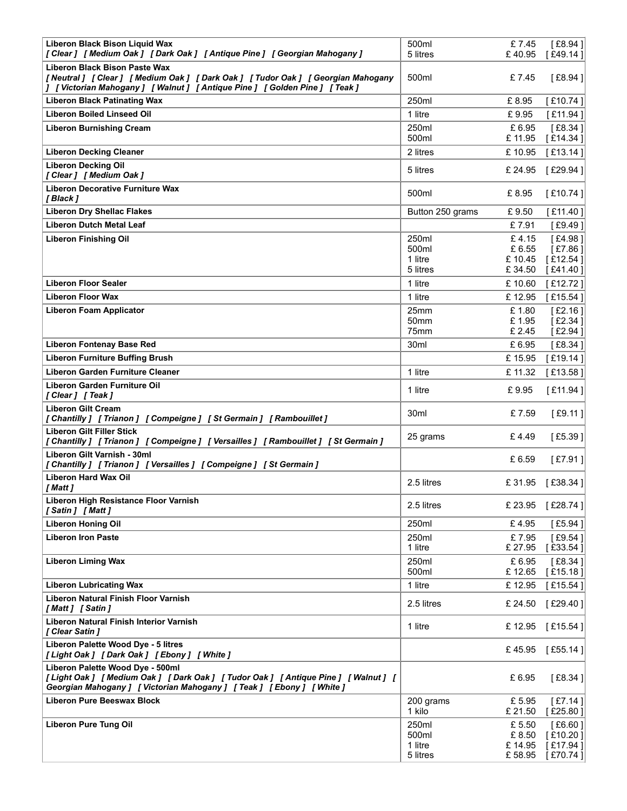| Liberon Black Bison Liquid Wax                                                                                                                                                                      | 500ml               | £7.45             | [£8.94]                |
|-----------------------------------------------------------------------------------------------------------------------------------------------------------------------------------------------------|---------------------|-------------------|------------------------|
| [Clear] [Medium Oak ] [Dark Oak ] [Antique Pine ] [Georgian Mahogany ]                                                                                                                              | 5 litres            | £40.95            | [£49.14]               |
| Liberon Black Bison Paste Wax<br>[Neutral] [Clear] [Medium Oak] [Dark Oak] [Tudor Oak] [Georgian Mahogany<br>] [Victorian Mahogany ] [Walnut ] [Antique Pine ] [Golden Pine ] [Teak ]               | 500ml               | £7.45             | [ $£8.94$ ]            |
| <b>Liberon Black Patinating Wax</b><br><b>Liberon Boiled Linseed Oil</b>                                                                                                                            | 250ml<br>1 litre    | £8.95<br>£9.95    | [£10.74]<br>[£11.94]   |
| <b>Liberon Burnishing Cream</b>                                                                                                                                                                     | 250ml               | £6.95             | $[£8.34]$              |
| <b>Liberon Decking Cleaner</b>                                                                                                                                                                      | 500ml<br>2 litres   | £11.95<br>£10.95  | [£14.34]<br>[£13.14]   |
| <b>Liberon Decking Oil</b>                                                                                                                                                                          | 5 litres            | £ 24.95           | [£29.94]               |
| [Clear] [Medium Oak]<br><b>Liberon Decorative Furniture Wax</b>                                                                                                                                     | 500ml               | £8.95             | [£10.74]               |
| [ Black ]<br><b>Liberon Dry Shellac Flakes</b>                                                                                                                                                      | Button 250 grams    | £9.50             | [£11.40]               |
| <b>Liberon Dutch Metal Leaf</b>                                                                                                                                                                     |                     | £7.91             | [£9.49]                |
| <b>Liberon Finishing Oil</b>                                                                                                                                                                        | 250ml<br>500ml      | £4.15<br>£ 6.55   | $[£4.98]$<br>[£7.86]   |
|                                                                                                                                                                                                     | 1 litre<br>5 litres | £10.45<br>£34.50  | [£12.54]<br>[£41.40]   |
| <b>Liberon Floor Sealer</b>                                                                                                                                                                         | 1 litre             | £10.60            | [£12.72]               |
| <b>Liberon Floor Wax</b>                                                                                                                                                                            | 1 litre             | £12.95            | [£15.54]               |
| <b>Liberon Foam Applicator</b>                                                                                                                                                                      | 25mm<br>50mm        | £1.80<br>£1.95    | [£2.16]<br>[£2.34]     |
| <b>Liberon Fontenay Base Red</b>                                                                                                                                                                    | 75mm<br>30ml        | £2.45<br>£6.95    | [ $£2.94$ ]<br>[£8.34] |
| <b>Liberon Furniture Buffing Brush</b>                                                                                                                                                              |                     | £15.95            | [£19.14]               |
| Liberon Garden Furniture Cleaner<br><b>Liberon Garden Furniture Oil</b>                                                                                                                             | 1 litre             | £ 11.32           | [£13.58]               |
| [Clear] [Teak]                                                                                                                                                                                      | 1 litre             | £9.95             | [£11.94]               |
| <b>Liberon Gilt Cream</b><br>[Chantilly] [Trianon] [Compeigne] [St Germain] [Rambouillet]                                                                                                           | 30 <sub>ml</sub>    | £7.59             | [£9.11]                |
| <b>Liberon Gilt Filler Stick</b><br>[Chantilly] [Trianon] [Compeigne] [Versailles] [Rambouillet] [St Germain]                                                                                       | 25 grams            | £4.49             | [ $£5.39$ ]            |
| Liberon Gilt Varnish - 30ml<br>[Chantilly] [Trianon] [Versailles] [Compeigne] [St Germain]                                                                                                          |                     | £ 6.59            | [£7.91]                |
| <b>Liberon Hard Wax Oil</b><br>[ Matt ]                                                                                                                                                             | 2.5 litres          | £31.95            | [£38.34]               |
| Liberon High Resistance Floor Varnish                                                                                                                                                               | 2.5 litres          | £ 23.95           | [£28.74]               |
| [Satin ] [Matt ]<br><b>Liberon Honing Oil</b>                                                                                                                                                       | 250ml               | £4.95             | $[£5.94]$              |
| <b>Liberon Iron Paste</b>                                                                                                                                                                           | 250ml<br>1 litre    | £7.95<br>£ 27.95  | $[£9.54]$<br>[£33.54]  |
| <b>Liberon Liming Wax</b>                                                                                                                                                                           | 250ml               | £ 6.95            | [£8.34]                |
| <b>Liberon Lubricating Wax</b>                                                                                                                                                                      | 500ml<br>1 litre    | £12.65<br>£12.95  | [£15.18]<br>[£15.54]   |
| Liberon Natural Finish Floor Varnish                                                                                                                                                                | 2.5 litres          | £ 24.50           | [£29.40]               |
| [Matt] [Satin]<br>Liberon Natural Finish Interior Varnish                                                                                                                                           |                     |                   |                        |
| [ Clear Satin ]<br>Liberon Palette Wood Dye - 5 litres                                                                                                                                              | 1 litre             | £12.95            | [£15.54]               |
| [Light Oak ] [Dark Oak ] [Ebony ] [White ]                                                                                                                                                          |                     |                   | £45.95 [£55.14]        |
| Liberon Palette Wood Dye - 500ml<br>[Light Oak ] [ Medium Oak ] [ Dark Oak ] [ Tudor Oak ] [ Antique Pine ] [ Walnut ] [<br>Georgian Mahogany ] [ Victorian Mahogany ] [ Teak ] [ Ebony ] [ White ] |                     | £6.95             | [£8.34]                |
| <b>Liberon Pure Beeswax Block</b>                                                                                                                                                                   | 200 grams<br>1 kilo | £ 5.95<br>£ 21.50 | $[£7.14]$<br>[£25.80]  |
| <b>Liberon Pure Tung Oil</b>                                                                                                                                                                        | 250ml               | £ 5.50            | [£6.60]                |
|                                                                                                                                                                                                     | 500ml<br>1 litre    | £ 8.50<br>£14.95  | [£10.20]<br>[£17.94]   |
|                                                                                                                                                                                                     | 5 litres            | £ 58.95           | $[$ £70.74 $]$         |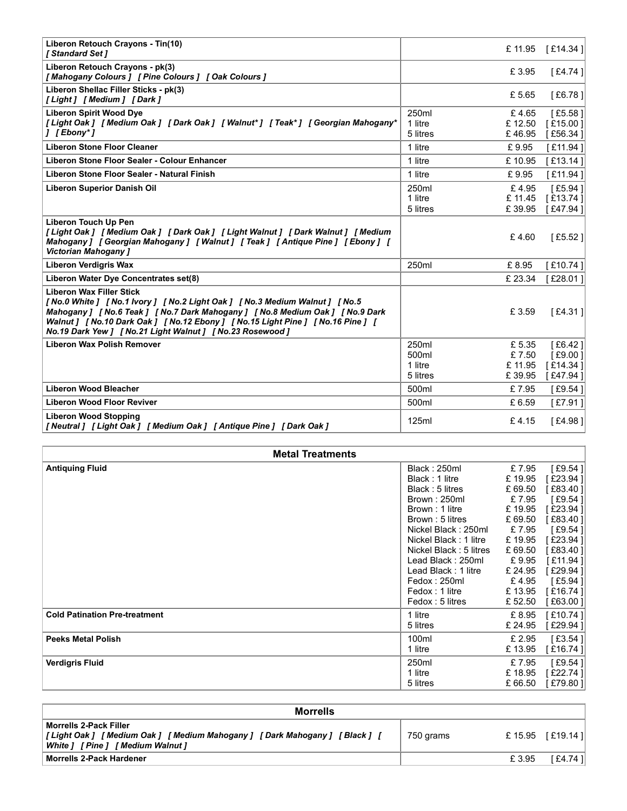| Liberon Retouch Crayons - Tin(10)<br>[ Standard Set ]                                                                                                                                                                                                                                                                                          |                                             | £ 11.95           | [£14.34]             |
|------------------------------------------------------------------------------------------------------------------------------------------------------------------------------------------------------------------------------------------------------------------------------------------------------------------------------------------------|---------------------------------------------|-------------------|----------------------|
| Liberon Retouch Crayons - pk(3)<br>[Mahogany Colours] [Pine Colours] [Oak Colours]                                                                                                                                                                                                                                                             |                                             | £3.95             | [£4.74]              |
| Liberon Shellac Filler Sticks - pk(3)<br>[Light] [Medium] [Dark]                                                                                                                                                                                                                                                                               |                                             | £ 5.65            | [£6.78]              |
| <b>Liberon Spirit Wood Dye</b>                                                                                                                                                                                                                                                                                                                 | 250ml                                       | £4.65             | [£5.58]              |
| [Light Oak ] [ Medium Oak ] [ Dark Oak ] [ Walnut* ] [ Teak* ] [ Georgian Mahogany*<br>] [Ebony*]                                                                                                                                                                                                                                              | 1 litre<br>5 litres                         | £ 12.50<br>£46.95 | [£15.00]<br>[£56.34] |
| <b>Liberon Stone Floor Cleaner</b>                                                                                                                                                                                                                                                                                                             | 1 litre                                     | £9.95             | [£11.94]             |
| Liberon Stone Floor Sealer - Colour Enhancer                                                                                                                                                                                                                                                                                                   | 1 litre                                     | £10.95            | [£13.14]             |
| Liberon Stone Floor Sealer - Natural Finish                                                                                                                                                                                                                                                                                                    | 1 litre                                     | £9.95             | [£11.94]             |
| <b>Liberon Superior Danish Oil</b>                                                                                                                                                                                                                                                                                                             | 250ml                                       | £4.95             | [£5.94]              |
|                                                                                                                                                                                                                                                                                                                                                | 1 litre<br>5 litres                         | £11.45<br>£39.95  | [£13.74]             |
| <b>Liberon Touch Up Pen</b><br>[Light Oak] [Medium Oak] [Dark Oak] [Light Walnut] [Dark Walnut] [Medium<br>Mahogany ] [ Georgian Mahogany ] [ Walnut ] [ Teak ] [ Antique Pine ] [ Ebony ] [<br><b>Victorian Mahogany ]</b>                                                                                                                    |                                             | £4.60             | [£47.94]<br>[£5.52]  |
| <b>Liberon Verdigris Wax</b>                                                                                                                                                                                                                                                                                                                   | 250ml                                       | £8.95             | [£10.74]             |
| Liberon Water Dye Concentrates set(8)                                                                                                                                                                                                                                                                                                          |                                             | £ 23.34           | [£28.01]             |
| <b>Liberon Wax Filler Stick</b><br>[No.0 White ] [No.1 Ivory ] [No.2 Light Oak ] [No.3 Medium Walnut ] [No.5<br>Mahogany ] [ No.6 Teak ] [ No.7 Dark Mahogany ] [ No.8 Medium Oak ] [ No.9 Dark<br>Walnut ] [No.10 Dark Oak ] [No.12 Ebony ] [No.15 Light Pine ] [No.16 Pine ] [<br>No.19 Dark Yew ] [ No.21 Light Walnut ] [ No.23 Rosewood ] |                                             | £ 3.59            | $[£4.31]$            |
| <b>Liberon Wax Polish Remover</b>                                                                                                                                                                                                                                                                                                              | 250ml                                       | £5.35             | [ $£6.42$ ]          |
|                                                                                                                                                                                                                                                                                                                                                | 500ml<br>1 litre                            | £7.50<br>£ 11.95  | [£9.00]<br>[£14.34]  |
|                                                                                                                                                                                                                                                                                                                                                | 5 litres                                    | £39.95            | [£47.94]             |
| <b>Liberon Wood Bleacher</b>                                                                                                                                                                                                                                                                                                                   | 500ml                                       | £7.95             | [£9.54]              |
| <b>Liberon Wood Floor Reviver</b>                                                                                                                                                                                                                                                                                                              | 500ml                                       | £6.59             | [£7.91]              |
| <b>Liberon Wood Stopping</b><br>[Neutral] [Light Oak] [Medium Oak] [Antique Pine] [Dark Oak]                                                                                                                                                                                                                                                   | 125ml                                       | £4.15             | [£4.98]              |
| <b>Metal Treatments</b>                                                                                                                                                                                                                                                                                                                        |                                             |                   |                      |
| <b>Antiquing Fluid</b>                                                                                                                                                                                                                                                                                                                         | Black: 250ml                                | £7.95             | $[£9.54]$            |
|                                                                                                                                                                                                                                                                                                                                                | Black: 1 litre<br>Black: 5 litres           | £19.95<br>£ 69.50 | [£23.94]<br>[£83.40] |
|                                                                                                                                                                                                                                                                                                                                                | Brown: 250ml                                | £7.95             | $[£9.54]$            |
|                                                                                                                                                                                                                                                                                                                                                | Brown: 1 litre                              | £19.95            | [£23.94]             |
|                                                                                                                                                                                                                                                                                                                                                | Brown: 5 litres<br>Nickel Black: 250ml      | £ 69.50<br>£7.95  | [£83.40]<br>[£9.54]  |
|                                                                                                                                                                                                                                                                                                                                                | Nickel Black: 1 litre                       | £19.95            | [£23.94]             |
|                                                                                                                                                                                                                                                                                                                                                | Nickel Black: 5 litres<br>Lead Black: 250ml | £ 69.50<br>£9.95  | [£83.40]<br>[£11.94] |
|                                                                                                                                                                                                                                                                                                                                                | Lead Black: 1 litre                         | £ 24.95           | [£29.94]             |
|                                                                                                                                                                                                                                                                                                                                                | Fedox: 250ml                                | £4.95             | $[£5.94]$            |
|                                                                                                                                                                                                                                                                                                                                                | Fedox: 1 litre                              | £13.95            | [£16.74]             |
|                                                                                                                                                                                                                                                                                                                                                | Fedox: 5 litres                             | £ 52.50           | [£63.00]             |

| <b>Liberon Wax Filler Stick</b><br>[No.0 White ] [No.1 Ivory ] [No.2 Light Oak ] [No.3 Medium Walnut ] [No.5<br>$[£4.31]$<br>Mahogany ] [ No.6 Teak ] [ No.7 Dark Mahogany ] [ No.8 Medium Oak ] [ No.9 Dark<br>£ 3.59<br>Walnut ] [No.10 Dark Oak ] [No.12 Ebony ] [No.15 Light Pine ] [No.16 Pine ] [<br>No.19 Dark Yew ] [ No.21 Light Walnut ] [ No.23 Rosewood ]<br><b>Liberon Wax Polish Remover</b><br>250ml<br>[£6.42]<br>£ 5.35<br>[£9.00]<br>500ml<br>£7.50<br>£ 11.95<br>1 litre<br>[£14.34]<br>5 litres<br>[£47.94]<br>£39.95<br><b>Liberon Wood Bleacher</b><br>500ml<br>£7.95<br>$[£9.54]$<br><b>Liberon Wood Floor Reviver</b><br>500ml<br>£6.59<br>[£7.91]<br><b>Liberon Wood Stopping</b><br>[£4.98]<br>125ml<br>£4.15<br><b>Metal Treatments</b><br><b>Antiquing Fluid</b><br>Black: 250ml<br>£7.95<br>$[£9.54]$<br>[£23.94]<br>Black: 1 litre<br>£19.95<br>Black: 5 litres<br>£ 69.50<br>[£83.40]<br>Brown: 250ml<br>£7.95<br>$[£9.54]$<br>[£23.94]<br>Brown: 1 litre<br>£19.95<br>Brown: 5 litres<br>£ 69.50<br>[£83.40]<br>Nickel Black: 250ml<br>£7.95<br>$[£9.54]$<br>£19.95<br>[£23.94]<br>Nickel Black: 1 litre<br>Nickel Black: 5 litres<br>£ 69.50<br>[£83.40]<br>Lead Black: 250ml<br>£9.95<br>[£11.94]<br>[£29.94]<br>Lead Black: 1 litre<br>£ 24.95<br>Fedox: 250ml<br>£4.95<br>[ $£5.94$ ]<br>Fedox: 1 litre<br>£13.95<br>[£16.74]<br>Fedox: 5 litres<br>[£63.00]<br>£ 52.50<br>[£10.74]<br>1 litre<br>£ 8.95<br><b>Cold Patination Pre-treatment</b><br>[£29.94]<br>5 litres<br>£ 24.95<br><b>Peeks Metal Polish</b><br>£ 2.95<br>$[£3.54]$<br>100ml<br>1 litre<br>£13.95<br>[£16.74]<br><b>Verdigris Fluid</b><br>£7.95<br>[£9.54]<br>250ml<br>1 litre<br>£18.95<br>[£22.74]<br>5 litres<br>£ 66.50<br>[£79.80] |
|--------------------------------------------------------------------------------------------------------------------------------------------------------------------------------------------------------------------------------------------------------------------------------------------------------------------------------------------------------------------------------------------------------------------------------------------------------------------------------------------------------------------------------------------------------------------------------------------------------------------------------------------------------------------------------------------------------------------------------------------------------------------------------------------------------------------------------------------------------------------------------------------------------------------------------------------------------------------------------------------------------------------------------------------------------------------------------------------------------------------------------------------------------------------------------------------------------------------------------------------------------------------------------------------------------------------------------------------------------------------------------------------------------------------------------------------------------------------------------------------------------------------------------------------------------------------------------------------------------------------------------------------------------------------------------------------------------------------------------------------------|
| [Neutral] [Light Oak] [Medium Oak] [Antique Pine] [Dark Oak]                                                                                                                                                                                                                                                                                                                                                                                                                                                                                                                                                                                                                                                                                                                                                                                                                                                                                                                                                                                                                                                                                                                                                                                                                                                                                                                                                                                                                                                                                                                                                                                                                                                                                     |
|                                                                                                                                                                                                                                                                                                                                                                                                                                                                                                                                                                                                                                                                                                                                                                                                                                                                                                                                                                                                                                                                                                                                                                                                                                                                                                                                                                                                                                                                                                                                                                                                                                                                                                                                                  |
|                                                                                                                                                                                                                                                                                                                                                                                                                                                                                                                                                                                                                                                                                                                                                                                                                                                                                                                                                                                                                                                                                                                                                                                                                                                                                                                                                                                                                                                                                                                                                                                                                                                                                                                                                  |
|                                                                                                                                                                                                                                                                                                                                                                                                                                                                                                                                                                                                                                                                                                                                                                                                                                                                                                                                                                                                                                                                                                                                                                                                                                                                                                                                                                                                                                                                                                                                                                                                                                                                                                                                                  |
|                                                                                                                                                                                                                                                                                                                                                                                                                                                                                                                                                                                                                                                                                                                                                                                                                                                                                                                                                                                                                                                                                                                                                                                                                                                                                                                                                                                                                                                                                                                                                                                                                                                                                                                                                  |
|                                                                                                                                                                                                                                                                                                                                                                                                                                                                                                                                                                                                                                                                                                                                                                                                                                                                                                                                                                                                                                                                                                                                                                                                                                                                                                                                                                                                                                                                                                                                                                                                                                                                                                                                                  |
|                                                                                                                                                                                                                                                                                                                                                                                                                                                                                                                                                                                                                                                                                                                                                                                                                                                                                                                                                                                                                                                                                                                                                                                                                                                                                                                                                                                                                                                                                                                                                                                                                                                                                                                                                  |
|                                                                                                                                                                                                                                                                                                                                                                                                                                                                                                                                                                                                                                                                                                                                                                                                                                                                                                                                                                                                                                                                                                                                                                                                                                                                                                                                                                                                                                                                                                                                                                                                                                                                                                                                                  |
|                                                                                                                                                                                                                                                                                                                                                                                                                                                                                                                                                                                                                                                                                                                                                                                                                                                                                                                                                                                                                                                                                                                                                                                                                                                                                                                                                                                                                                                                                                                                                                                                                                                                                                                                                  |
|                                                                                                                                                                                                                                                                                                                                                                                                                                                                                                                                                                                                                                                                                                                                                                                                                                                                                                                                                                                                                                                                                                                                                                                                                                                                                                                                                                                                                                                                                                                                                                                                                                                                                                                                                  |
|                                                                                                                                                                                                                                                                                                                                                                                                                                                                                                                                                                                                                                                                                                                                                                                                                                                                                                                                                                                                                                                                                                                                                                                                                                                                                                                                                                                                                                                                                                                                                                                                                                                                                                                                                  |
|                                                                                                                                                                                                                                                                                                                                                                                                                                                                                                                                                                                                                                                                                                                                                                                                                                                                                                                                                                                                                                                                                                                                                                                                                                                                                                                                                                                                                                                                                                                                                                                                                                                                                                                                                  |
|                                                                                                                                                                                                                                                                                                                                                                                                                                                                                                                                                                                                                                                                                                                                                                                                                                                                                                                                                                                                                                                                                                                                                                                                                                                                                                                                                                                                                                                                                                                                                                                                                                                                                                                                                  |
|                                                                                                                                                                                                                                                                                                                                                                                                                                                                                                                                                                                                                                                                                                                                                                                                                                                                                                                                                                                                                                                                                                                                                                                                                                                                                                                                                                                                                                                                                                                                                                                                                                                                                                                                                  |
|                                                                                                                                                                                                                                                                                                                                                                                                                                                                                                                                                                                                                                                                                                                                                                                                                                                                                                                                                                                                                                                                                                                                                                                                                                                                                                                                                                                                                                                                                                                                                                                                                                                                                                                                                  |
|                                                                                                                                                                                                                                                                                                                                                                                                                                                                                                                                                                                                                                                                                                                                                                                                                                                                                                                                                                                                                                                                                                                                                                                                                                                                                                                                                                                                                                                                                                                                                                                                                                                                                                                                                  |
|                                                                                                                                                                                                                                                                                                                                                                                                                                                                                                                                                                                                                                                                                                                                                                                                                                                                                                                                                                                                                                                                                                                                                                                                                                                                                                                                                                                                                                                                                                                                                                                                                                                                                                                                                  |
|                                                                                                                                                                                                                                                                                                                                                                                                                                                                                                                                                                                                                                                                                                                                                                                                                                                                                                                                                                                                                                                                                                                                                                                                                                                                                                                                                                                                                                                                                                                                                                                                                                                                                                                                                  |
|                                                                                                                                                                                                                                                                                                                                                                                                                                                                                                                                                                                                                                                                                                                                                                                                                                                                                                                                                                                                                                                                                                                                                                                                                                                                                                                                                                                                                                                                                                                                                                                                                                                                                                                                                  |
|                                                                                                                                                                                                                                                                                                                                                                                                                                                                                                                                                                                                                                                                                                                                                                                                                                                                                                                                                                                                                                                                                                                                                                                                                                                                                                                                                                                                                                                                                                                                                                                                                                                                                                                                                  |
|                                                                                                                                                                                                                                                                                                                                                                                                                                                                                                                                                                                                                                                                                                                                                                                                                                                                                                                                                                                                                                                                                                                                                                                                                                                                                                                                                                                                                                                                                                                                                                                                                                                                                                                                                  |
|                                                                                                                                                                                                                                                                                                                                                                                                                                                                                                                                                                                                                                                                                                                                                                                                                                                                                                                                                                                                                                                                                                                                                                                                                                                                                                                                                                                                                                                                                                                                                                                                                                                                                                                                                  |
|                                                                                                                                                                                                                                                                                                                                                                                                                                                                                                                                                                                                                                                                                                                                                                                                                                                                                                                                                                                                                                                                                                                                                                                                                                                                                                                                                                                                                                                                                                                                                                                                                                                                                                                                                  |
|                                                                                                                                                                                                                                                                                                                                                                                                                                                                                                                                                                                                                                                                                                                                                                                                                                                                                                                                                                                                                                                                                                                                                                                                                                                                                                                                                                                                                                                                                                                                                                                                                                                                                                                                                  |
|                                                                                                                                                                                                                                                                                                                                                                                                                                                                                                                                                                                                                                                                                                                                                                                                                                                                                                                                                                                                                                                                                                                                                                                                                                                                                                                                                                                                                                                                                                                                                                                                                                                                                                                                                  |
|                                                                                                                                                                                                                                                                                                                                                                                                                                                                                                                                                                                                                                                                                                                                                                                                                                                                                                                                                                                                                                                                                                                                                                                                                                                                                                                                                                                                                                                                                                                                                                                                                                                                                                                                                  |
|                                                                                                                                                                                                                                                                                                                                                                                                                                                                                                                                                                                                                                                                                                                                                                                                                                                                                                                                                                                                                                                                                                                                                                                                                                                                                                                                                                                                                                                                                                                                                                                                                                                                                                                                                  |
|                                                                                                                                                                                                                                                                                                                                                                                                                                                                                                                                                                                                                                                                                                                                                                                                                                                                                                                                                                                                                                                                                                                                                                                                                                                                                                                                                                                                                                                                                                                                                                                                                                                                                                                                                  |
|                                                                                                                                                                                                                                                                                                                                                                                                                                                                                                                                                                                                                                                                                                                                                                                                                                                                                                                                                                                                                                                                                                                                                                                                                                                                                                                                                                                                                                                                                                                                                                                                                                                                                                                                                  |
| <b>Morrells</b>                                                                                                                                                                                                                                                                                                                                                                                                                                                                                                                                                                                                                                                                                                                                                                                                                                                                                                                                                                                                                                                                                                                                                                                                                                                                                                                                                                                                                                                                                                                                                                                                                                                                                                                                  |
| <b>Morrells 2-Pack Filler</b>                                                                                                                                                                                                                                                                                                                                                                                                                                                                                                                                                                                                                                                                                                                                                                                                                                                                                                                                                                                                                                                                                                                                                                                                                                                                                                                                                                                                                                                                                                                                                                                                                                                                                                                    |
| £15.95 [£19.14]<br>[Light Oak ] [Medium Oak ] [Medium Mahogany ] [Dark Mahogany ] [Black ] [<br>750 grams<br>White ] [ Pine ] [ Medium Walnut ]                                                                                                                                                                                                                                                                                                                                                                                                                                                                                                                                                                                                                                                                                                                                                                                                                                                                                                                                                                                                                                                                                                                                                                                                                                                                                                                                                                                                                                                                                                                                                                                                  |
| <b>Morrells 2-Pack Hardener</b><br>£3.95<br>[£4.74]                                                                                                                                                                                                                                                                                                                                                                                                                                                                                                                                                                                                                                                                                                                                                                                                                                                                                                                                                                                                                                                                                                                                                                                                                                                                                                                                                                                                                                                                                                                                                                                                                                                                                              |

| <b>Morrells</b>                                                                                                                                         |           |         |          |  |  |  |
|---------------------------------------------------------------------------------------------------------------------------------------------------------|-----------|---------|----------|--|--|--|
| <b>Morrells 2-Pack Filler</b><br>[Light Oak] [Medium Oak] [Medium Mahogany] [Dark Mahogany] [Black] [<br>[ Medium Walnut ]<br><b>White 1</b><br>[Pine ] | 750 grams | £ 15.95 | [£19.14] |  |  |  |
| <b>Morrells 2-Pack Hardener</b>                                                                                                                         |           | £ 3.95  | [£4.74]  |  |  |  |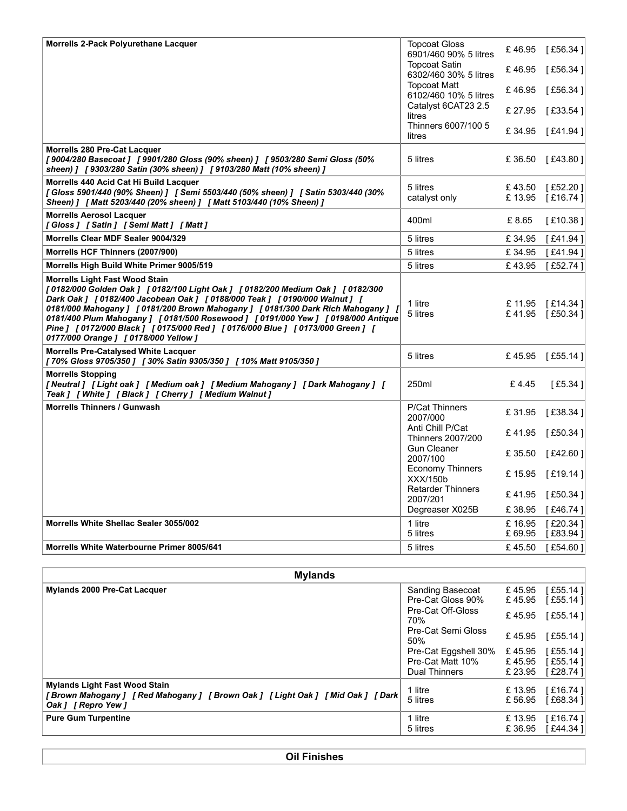| Morrells 2-Pack Polyurethane Lacquer                                                                                                                                                                                                                                                                                                                                                                                                                                                                | <b>Topcoat Gloss</b><br>6901/460 90% 5 litres  | £46.95            | [£56.34]                              |
|-----------------------------------------------------------------------------------------------------------------------------------------------------------------------------------------------------------------------------------------------------------------------------------------------------------------------------------------------------------------------------------------------------------------------------------------------------------------------------------------------------|------------------------------------------------|-------------------|---------------------------------------|
|                                                                                                                                                                                                                                                                                                                                                                                                                                                                                                     | <b>Topcoat Satin</b><br>6302/460 30% 5 litres  | £46.95            | [£56.34]                              |
|                                                                                                                                                                                                                                                                                                                                                                                                                                                                                                     | <b>Topcoat Matt</b>                            | £46.95            | [£56.34]                              |
|                                                                                                                                                                                                                                                                                                                                                                                                                                                                                                     | 6102/460 10% 5 litres<br>Catalyst 6CAT23 2.5   |                   |                                       |
|                                                                                                                                                                                                                                                                                                                                                                                                                                                                                                     | litres                                         | £ 27.95           | [£33.54]                              |
|                                                                                                                                                                                                                                                                                                                                                                                                                                                                                                     | Thinners 6007/100 5<br>litres                  | £34.95            | [£41.94 ]                             |
| Morrells 280 Pre-Cat Lacquer<br>[9004/280 Basecoat ] [9901/280 Gloss (90% sheen) ] [9503/280 Semi Gloss (50%<br>sheen) ] [9303/280 Satin (30% sheen) ] [9103/280 Matt (10% sheen) ]                                                                                                                                                                                                                                                                                                                 | 5 litres                                       | £36.50            | [£43.80]                              |
| Morrells 440 Acid Cat Hi Build Lacquer                                                                                                                                                                                                                                                                                                                                                                                                                                                              | 5 litres                                       | £43.50            | [£52.20]                              |
| [Gloss 5901/440 (90% Sheen) ] [ Semi 5503/440 (50% sheen) ] [ Satin 5303/440 (30%<br>Sheen) ] [ Matt 5203/440 (20% sheen) ] [ Matt 5103/440 (10% Sheen) ]<br><b>Morrells Aerosol Lacquer</b>                                                                                                                                                                                                                                                                                                        | catalyst only                                  | £13.95            | [£16.74]                              |
| [Gloss] [Satin] [Semi Matt] [Matt]                                                                                                                                                                                                                                                                                                                                                                                                                                                                  | 400ml                                          | £8.65             | [£10.38]                              |
| Morrells Clear MDF Sealer 9004/329                                                                                                                                                                                                                                                                                                                                                                                                                                                                  | 5 litres                                       | £34.95            | [£41.94]                              |
| Morrells HCF Thinners (2007/900)                                                                                                                                                                                                                                                                                                                                                                                                                                                                    | 5 litres                                       | £34.95            | [£41.94]                              |
| Morrells High Build White Primer 9005/519                                                                                                                                                                                                                                                                                                                                                                                                                                                           | 5 litres                                       | £43.95            | [£52.74]                              |
| <b>Morrells Light Fast Wood Stain</b><br>[0182/000 Golden Oak ] [0182/100 Light Oak ] [0182/200 Medium Oak ] [0182/300<br>Dark Oak ] [0182/400 Jacobean Oak ] [0188/000 Teak ] [0190/000 Walnut ] [<br>0181/000 Mahogany ] [0181/200 Brown Mahogany ] [0181/300 Dark Rich Mahogany ] [<br>0181/400 Plum Mahogany ] [0181/500 Rosewood ] [0191/000 Yew ] [0198/000 Antique<br>Pine ] [0172/000 Black ] [0175/000 Red ] [0176/000 Blue ] [0173/000 Green ] [<br>0177/000 Orange ] [ 0178/000 Yellow ] | 1 litre<br>5 litres                            | £ 11.95<br>£41.95 | [£14.34]<br>[£50.34]                  |
| <b>Morrells Pre-Catalysed White Lacquer</b><br>[70% Gloss 9705/350 ] [30% Satin 9305/350 ] [10% Matt 9105/350 ]                                                                                                                                                                                                                                                                                                                                                                                     | 5 litres                                       | £45.95            | [£55.14]                              |
| <b>Morrells Stopping</b><br>[Neutral] [Light oak] [Medium oak] [Medium Mahogany] [Dark Mahogany] [<br>Teak ] [ White ] [ Black ] [ Cherry ] [ Medium Walnut ]                                                                                                                                                                                                                                                                                                                                       | 250ml                                          | £4.45             | $[£5.34]$                             |
| <b>Morrells Thinners / Gunwash</b>                                                                                                                                                                                                                                                                                                                                                                                                                                                                  | P/Cat Thinners<br>2007/000                     | £ 31.95           | [£38.34]                              |
|                                                                                                                                                                                                                                                                                                                                                                                                                                                                                                     | Anti Chill P/Cat                               | £41.95            | [£50.34 ]                             |
|                                                                                                                                                                                                                                                                                                                                                                                                                                                                                                     | <b>Thinners 2007/200</b><br><b>Gun Cleaner</b> |                   |                                       |
|                                                                                                                                                                                                                                                                                                                                                                                                                                                                                                     | 2007/100                                       | £ 35.50           | [£42.60]                              |
|                                                                                                                                                                                                                                                                                                                                                                                                                                                                                                     | <b>Economy Thinners</b><br>XXX/150b            | £15.95            | [£19.14]                              |
|                                                                                                                                                                                                                                                                                                                                                                                                                                                                                                     | <b>Retarder Thinners</b>                       | £41.95            | [£50.34]                              |
|                                                                                                                                                                                                                                                                                                                                                                                                                                                                                                     | 2007/201<br>Degreaser X025B                    | £ 38.95           | [£46.74]                              |
| Morrells White Shellac Sealer 3055/002                                                                                                                                                                                                                                                                                                                                                                                                                                                              | 1 litre                                        | £16.95            | [£20.34]                              |
|                                                                                                                                                                                                                                                                                                                                                                                                                                                                                                     | 5 litres                                       | £ 69.95           | [£83.94]                              |
| Morrells White Waterbourne Primer 8005/641                                                                                                                                                                                                                                                                                                                                                                                                                                                          | 5 litres                                       | £45.50            | [£54.60]                              |
|                                                                                                                                                                                                                                                                                                                                                                                                                                                                                                     |                                                |                   |                                       |
|                                                                                                                                                                                                                                                                                                                                                                                                                                                                                                     | Sanding Basecoat                               | £45.95            | [£55.14]                              |
| <b>Mylands</b>                                                                                                                                                                                                                                                                                                                                                                                                                                                                                      |                                                | £45.95            | [£55.14]                              |
| Mylands 2000 Pre-Cat Lacquer                                                                                                                                                                                                                                                                                                                                                                                                                                                                        | Pre-Cat Gloss 90%<br>Pre-Cat Off-Gloss         | £45.95            | [£55.14]                              |
|                                                                                                                                                                                                                                                                                                                                                                                                                                                                                                     | 70%<br>Pre-Cat Semi Gloss                      |                   |                                       |
|                                                                                                                                                                                                                                                                                                                                                                                                                                                                                                     | 50%                                            | £45.95            | [£55.14]                              |
|                                                                                                                                                                                                                                                                                                                                                                                                                                                                                                     | Pre-Cat Eggshell 30%<br>Pre-Cat Matt 10%       | £45.95<br>£45.95  | [£55.14]<br>[£55.14]                  |
| <b>Mylands Light Fast Wood Stain</b><br>[Brown Mahogany] [Red Mahogany] [Brown Oak] [Light Oak] [Mid Oak] [Dark                                                                                                                                                                                                                                                                                                                                                                                     | <b>Dual Thinners</b><br>1 litre<br>5 litres    | £ 23.95           | [£28.74]<br>£13.95 [£16.74]           |
| Oak ] [ Repro Yew ]<br><b>Pure Gum Turpentine</b>                                                                                                                                                                                                                                                                                                                                                                                                                                                   | 1 litre                                        | £13.95<br>0.000   | £56.95 [£68.34]<br>[£16.74]<br>501121 |

|                                                                                                | 2007/000                              | £31.95            | [£38.34]             |
|------------------------------------------------------------------------------------------------|---------------------------------------|-------------------|----------------------|
|                                                                                                | Anti Chill P/Cat<br>Thinners 2007/200 | £41.95            | [£50.34]             |
|                                                                                                | <b>Gun Cleaner</b><br>2007/100        | £ 35.50           | [£42.60]             |
|                                                                                                | <b>Economy Thinners</b><br>XXX/150b   | £15.95            | [£19.14]             |
|                                                                                                | <b>Retarder Thinners</b><br>2007/201  | £41.95            | [£50.34]             |
|                                                                                                | Degreaser X025B                       | £38.95            | [£46.74]             |
| Morrells White Shellac Sealer 3055/002                                                         | 1 litre<br>5 litres                   | £16.95<br>£ 69.95 | [£20.34]<br>[£83.94] |
| Morrells White Waterbourne Primer 8005/641                                                     | 5 litres                              | £45.50            | [£54.60]             |
|                                                                                                |                                       |                   |                      |
| <b>Mylands</b>                                                                                 |                                       |                   |                      |
| Mylands 2000 Pre-Cat Lacquer                                                                   | Sanding Basecoat                      | £45.95            | [£55.14]             |
|                                                                                                | Pre-Cat Gloss 90%                     | £45.95            | [£55.14]             |
|                                                                                                | Pre-Cat Off-Gloss<br>70%              | £45.95            | [£55.14]             |
|                                                                                                | Pre-Cat Semi Gloss<br>50%             | £45.95            | [£55.14]             |
|                                                                                                | Pre-Cat Eggshell 30%                  | £45.95            | [£55.14]             |
|                                                                                                | Pre-Cat Matt 10%                      | £45.95            | [£55.14]             |
|                                                                                                | <b>Dual Thinners</b>                  | £23.95            | [£28.74]             |
| <b>Mylands Light Fast Wood Stain</b>                                                           | 1 litre                               | £13.95            | [£16.74]             |
| [Brown Mahogany] [Red Mahogany] [Brown Oak] [Light Oak] [Mid Oak] [Dark<br>Oak ] [ Repro Yew ] | 5 litres                              | £56.95            | [£68.34]             |
| <b>Pure Gum Turpentine</b>                                                                     | 1 litre                               | £13.95            | [£16.74]             |
|                                                                                                | 5 litres                              | £36.95            | [£44.34]             |
|                                                                                                |                                       |                   |                      |
| <b>Oil Finishes</b>                                                                            |                                       |                   |                      |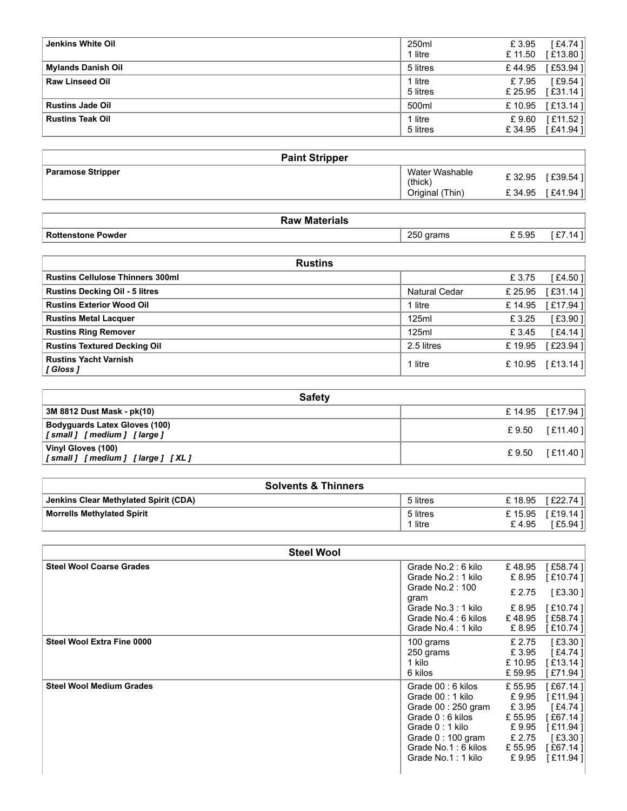| Jenkins White Oil                       | 250ml<br>1 litre           | £3.95<br>£ 11.50 | [£4.74]<br>$[£13.80]$ |
|-----------------------------------------|----------------------------|------------------|-----------------------|
| <b>Mylands Danish Oil</b>               | 5 litres                   | £44.95           | [£53.94]              |
| <b>Raw Linseed Oil</b>                  | 1 litre                    | £7.95            | [£9.54]               |
|                                         | 5 litres                   | £ 25.95          | [£31.14]              |
| <b>Rustins Jade Oil</b>                 | 500ml                      | £10.95           | [£13.14]              |
| <b>Rustins Teak Oil</b>                 | 1 litre                    | £9.60            | [£11.52]              |
|                                         | 5 litres                   | £34.95           | [£41.94]              |
|                                         |                            |                  |                       |
| <b>Paint Stripper</b>                   |                            |                  |                       |
| <b>Paramose Stripper</b>                | Water Washable             | £32.95           | [£39.54]              |
|                                         | (thick)<br>Original (Thin) | £34.95           | [£41.94]              |
|                                         |                            |                  |                       |
| <b>Raw Materials</b>                    |                            |                  |                       |
| <b>Rottenstone Powder</b>               | 250 grams                  | $\pounds$ 5.95   | $\boxed{[£7.14]}$     |
|                                         |                            |                  |                       |
| <b>Rustins</b>                          |                            |                  |                       |
| <b>Rustins Cellulose Thinners 300ml</b> |                            | £3.75            | [£4.50]               |
| <b>Rustins Decking Oil - 5 litres</b>   | Natural Cedar              | £ 25.95          | [£31.14]              |
| <b>Rustins Exterior Wood Oil</b>        | 1 litre                    | £14.95           | [£17.94]              |
| <b>Rustins Metal Lacquer</b>            | 125ml                      | £3.25            | [£3.90]               |
| <b>Rustins Ring Remover</b>             | 125ml                      | £3.45            | [ $£4.14$ ]           |
|                                         |                            |                  |                       |

| <b>Paint Stripper</b>    |                           |        |            |
|--------------------------|---------------------------|--------|------------|
| <b>Paramose Stripper</b> | Water Washable<br>(thick) | £32.95 | [£39.54 ]  |
|                          | (Thin)<br>Original        | £34.95 | [ £41.94 ] |

| रaw Materials<br>.                |              |       |   |
|-----------------------------------|--------------|-------|---|
| <b>Rotte</b><br>Powder<br>enstone | つらい<br>ɑrams | £5.95 | 7 |

| <b>Jenkins White Oil</b>                                         | 250ml                      | £3.95           | [£4.74]              |
|------------------------------------------------------------------|----------------------------|-----------------|----------------------|
|                                                                  | 1 litre                    | £ 11.50         | [£13.80]             |
| <b>Mylands Danish Oil</b>                                        | 5 litres                   | £44.95          | [£53.94]             |
| Raw Linseed Oil                                                  | 1 litre                    | £7.95           | [£9.54]              |
|                                                                  | 5 litres                   | £ 25.95         | [£31.14]             |
| <b>Rustins Jade Oil</b>                                          | 500ml                      | £10.95          | [£13.14]             |
| <b>Rustins Teak Oil</b>                                          | 1 litre<br>5 litres        | £9.60<br>£34.95 | [£11.52]<br>[£41.94] |
|                                                                  |                            |                 |                      |
| <b>Paint Stripper</b>                                            |                            |                 |                      |
| <b>Paramose Stripper</b>                                         | Water Washable             | £ 32.95         | [£39.54]             |
|                                                                  | (thick)<br>Original (Thin) | £34.95          | [£41.94]             |
|                                                                  |                            |                 |                      |
| <b>Raw Materials</b>                                             |                            |                 |                      |
| <b>Rottenstone Powder</b>                                        | 250 grams                  | £5.95           | [£7.14]              |
|                                                                  |                            |                 |                      |
| <b>Rustins</b>                                                   |                            |                 |                      |
| <b>Rustins Cellulose Thinners 300ml</b>                          |                            | £3.75           | [£4.50]              |
| <b>Rustins Decking Oil - 5 litres</b>                            | <b>Natural Cedar</b>       | £ 25.95         | [£31.14]             |
| <b>Rustins Exterior Wood Oil</b>                                 | 1 litre                    | £14.95          | [£17.94]             |
| <b>Rustins Metal Lacquer</b>                                     | 125ml                      | £3.25           | [ $£3.90$ ]          |
| <b>Rustins Ring Remover</b>                                      | 125ml                      | £3.45           | [£4.14]              |
| <b>Rustins Textured Decking Oil</b>                              | 2.5 litres                 | £19.95          | [£23.94]             |
| <b>Rustins Yacht Varnish</b><br>[Gloss]                          | 1 litre                    | £ 10.95         | [£13.14]             |
|                                                                  |                            |                 |                      |
| <b>Safety</b>                                                    |                            |                 |                      |
| 3M 8812 Dust Mask - pk(10)                                       |                            | £14.95          | [£17.94]             |
| <b>Bodyguards Latex Gloves (100)</b><br>[small] [medium] [large] |                            | £9.50           | [£11.40]             |
| Vinyl Gloves (100)<br>[small] [medium] [large] [XL]              |                            | £9.50           | [£11.40]             |
|                                                                  |                            |                 |                      |
| <b>Solvents &amp; Thinners</b>                                   |                            |                 |                      |
| <b>Jenkins Clear Methylated Spirit (CDA)</b>                     | 5 litres                   | £18.95          | [£22.74]             |
| <b>Morrells Methylated Spirit</b>                                | 5 litres                   | £15.95          | [£19.14]             |
|                                                                  | 1 litre                    | £4.95           | [ $£5.94$ ]          |
| <b>Steel Wool</b>                                                |                            |                 |                      |
| <b>Steel Wool Coarse Grades</b>                                  | Grade No.2: 6 kilo         | £48.95          | [£58.74]             |
|                                                                  | Grade No.2: 1 kilo         | £ 8.95          | [£10.74]             |
|                                                                  | Grade No.2: 100            |                 |                      |

| <b>Safety</b>                                                    |  |                     |  |  |  |  |
|------------------------------------------------------------------|--|---------------------|--|--|--|--|
| 3M 8812 Dust Mask - pk(10)                                       |  | £ 14.95 [£17.94]    |  |  |  |  |
| <b>Bodyguards Latex Gloves (100)</b><br>[small] [medium] [large] |  | £ 9.50 $[$ £11.40 ] |  |  |  |  |
| Vinyl Gloves (100)<br>[small] [medium] [large] [XL]              |  | £ 9.50 $[$ £11.40 ] |  |  |  |  |

| <b>Solvents &amp; Thinners</b>        |          |                                 |  |  |  |  |
|---------------------------------------|----------|---------------------------------|--|--|--|--|
| Jenkins Clear Methylated Spirit (CDA) | 5 litres | [ £22.74 ] <br>£18.95           |  |  |  |  |
| <b>Morrells Methylated Spirit</b>     | 5 litres | [£19.14]<br>£15.95              |  |  |  |  |
|                                       | litre    | $E5.94$ $\overline{1}$<br>£4.95 |  |  |  |  |

| <b>Rustins Exterior Wood Oil</b>                                 | 1 litre                                                                                                                                                              | £14.95                                                                       | [£17.94]                                                                                       |
|------------------------------------------------------------------|----------------------------------------------------------------------------------------------------------------------------------------------------------------------|------------------------------------------------------------------------------|------------------------------------------------------------------------------------------------|
| <b>Rustins Metal Lacquer</b>                                     | 125ml                                                                                                                                                                | £3.25                                                                        | [£3.90                                                                                         |
| <b>Rustins Ring Remover</b>                                      | 125ml                                                                                                                                                                | £3.45                                                                        | [£4.14]                                                                                        |
| <b>Rustins Textured Decking Oil</b>                              | 2.5 litres                                                                                                                                                           | £19.95                                                                       | [£23.94]                                                                                       |
| <b>Rustins Yacht Varnish</b><br>[ Gloss ]                        | 1 litre                                                                                                                                                              |                                                                              | £ 10.95 [£13.14]                                                                               |
| <b>Safety</b>                                                    |                                                                                                                                                                      |                                                                              |                                                                                                |
| 3M 8812 Dust Mask - pk(10)                                       |                                                                                                                                                                      | £14.95                                                                       | [£17.94]                                                                                       |
| <b>Bodyguards Latex Gloves (100)</b><br>[small] [medium] [large] |                                                                                                                                                                      | £9.50                                                                        | [£11.40]                                                                                       |
| Vinyl Gloves (100)<br>[small] [medium] [large] [XL]              |                                                                                                                                                                      | £9.50                                                                        | [£11.40]                                                                                       |
| <b>Solvents &amp; Thinners</b>                                   |                                                                                                                                                                      |                                                                              |                                                                                                |
| Jenkins Clear Methylated Spirit (CDA)                            | 5 litres                                                                                                                                                             | £18.95                                                                       | [£22.74]                                                                                       |
| <b>Morrells Methylated Spirit</b>                                | 5 litres                                                                                                                                                             | £15.95                                                                       | [£19.14]                                                                                       |
|                                                                  | 1 litre                                                                                                                                                              | £4.95                                                                        | [£5.94]                                                                                        |
| <b>Steel Wool</b>                                                |                                                                                                                                                                      |                                                                              |                                                                                                |
| <b>Steel Wool Coarse Grades</b>                                  | Grade No.2: 6 kilo<br>Grade No.2: 1 kilo                                                                                                                             | £48.95<br>£ 8.95                                                             | [£58.74]<br>[£10.74]                                                                           |
|                                                                  | Grade No.2: 100<br>gram                                                                                                                                              | £ 2.75                                                                       | [ $£3.30$ ]                                                                                    |
|                                                                  | Grade No.3: 1 kilo<br>Grade No.4: 6 kilos<br>Grade No.4: 1 kilo                                                                                                      | £ 8.95<br>£48.95<br>£ 8.95                                                   | [£10.74]<br>[£58.74]<br>[£10.74]                                                               |
| Steel Wool Extra Fine 0000                                       | 100 grams<br>250 grams<br>1 kilo<br>6 kilos                                                                                                                          | £ 2.75<br>£3.95<br>£10.95<br>£ 59.95                                         | $[£3.30]$<br>$[£4.74]$<br>[£13.14]<br>[£71.94]                                                 |
| <b>Steel Wool Medium Grades</b>                                  | Grade 00: 6 kilos<br>Grade 00 : 1 kilo<br>Grade 00: 250 gram<br>Grade 0:6 kilos<br>Grade 0: 1 kilo<br>Grade 0: 100 gram<br>Grade No.1: 6 kilos<br>Grade No.1: 1 kilo | £ 55.95<br>£9.95<br>£ 3.95<br>£ 55.95<br>£9.95<br>£ 2.75<br>£ 55.95<br>£9.95 | [£67.14]<br>[£11.94]<br>$[£4.74]$<br>[£67.14]<br>[£11.94]<br>$[£3.30]$<br>[£67.14]<br>[£11.94] |